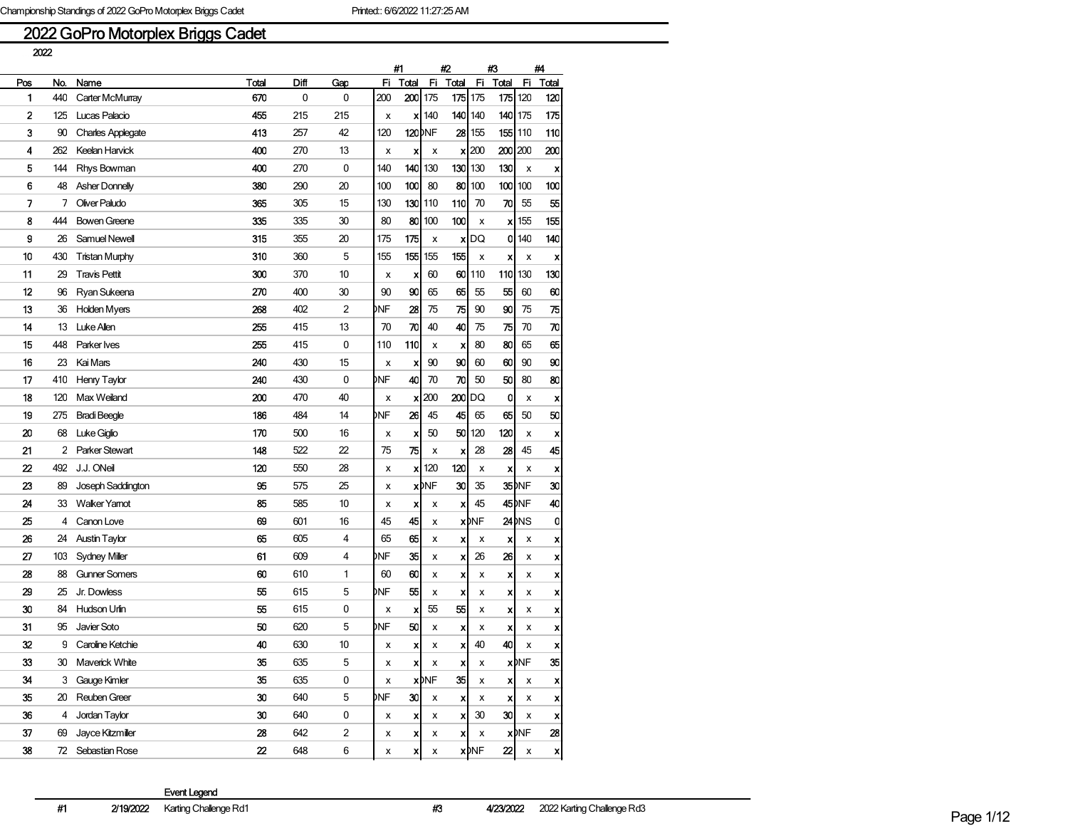# 2022 GoPro Motorplex Briggs Cadet

|     | 2022 |                          |                  |      |                |     |                           |              |                  |                    |                 |                   |                           |
|-----|------|--------------------------|------------------|------|----------------|-----|---------------------------|--------------|------------------|--------------------|-----------------|-------------------|---------------------------|
|     |      |                          |                  |      |                |     | #1                        |              | #2               |                    | #3              |                   | #4                        |
| Pos | No.  | Name                     | <b>Total</b>     | Diff | Gap            | Fi. | Total                     | Fi           | Total            | Fi.                | Total           | Fi                | Total                     |
| 1   | 440  | Carter McMurray          | 670              | 0    | 0              | 200 | $200$ 175                 |              |                  | $175$ 175          | 175 120         |                   | 120                       |
| 2   | 125  | Lucas Palacio            | 455              | 215  | 215            | x   | xl                        | 140          |                  | 140 140            | 140 175         |                   | 175                       |
| 3   | 90   | <b>Charles Applegate</b> | 413              | 257  | 42             | 120 | <b>120</b> DNF            |              |                  | $28$   155         |                 | <b>155 110</b>    | 110                       |
| 4   | 262  | Keelan Harvick           | 400              | 270  | 13             | x   | x                         | x            | x                | 200                | 200 200         |                   | 200                       |
| 5   | 144  | Rhys Bowman              | 400              | 270  | 0              | 140 | 140                       | 130          | 130              | 130                | 130             | x                 | X                         |
| 6   | 48   | <b>Asher Donnelly</b>    | 380              | 290  | 20             | 100 | 100                       | 80           | 80               | 100                | 100             | 100               | 100                       |
| 7   | 7    | Oliver Paludo            | 365              | 305  | 15             | 130 | 130                       | 110          | 110              | 70                 | 70              | 55                | 55                        |
| 8   | 444  | <b>Bowen Greene</b>      | 335              | 335  | 30             | 80  | 80                        | 100          | 100              | x                  | xl              | 155               | 155                       |
| 9   | 26   | Samuel Newell            | 315              | 355  | 20             | 175 | 175                       | x            | x                | DQ                 | 0               | 140               | 140                       |
| 10  | 430  | Tristan Murphy           | 310              | 360  | 5              | 155 | 155                       | 155          | 155              | x                  | x               | x                 | X                         |
| 11  | 29   | <b>Travis Pettit</b>     | 300              | 370  | 10             | x   | x                         | 60           | 60               | 110                | 110             | 130               | 130                       |
| 12  | 96   | Ryan Sukeena             | 270              | 400  | 30             | 90  | 90                        | 65           | 65               | 55                 | 55              | 60                | 60                        |
| 13  | 36   | <b>Holden Myers</b>      | 268              | 402  | $\overline{2}$ | DNF | 28                        | 75           | 75               | 90                 | 90              | 75                | 75                        |
| 14  | 13   | Luke Allen               | 255              | 415  | 13             | 70  | 70                        | 40           | 40               | 75                 | 75              | 70                | 70                        |
| 15  | 448  | Parker Ives              | 255              | 415  | 0              | 110 | 110                       | x            | X                | 80                 | 80              | 65                | 65                        |
| 16  | 23   | Kai Mars                 | 240              | 430  | 15             | x   | x                         | 90           | 90               | 60                 | 60              | 90                | 90                        |
| 17  | 410  | Henry Taylor             | 240              | 430  | 0              | DNF | 40                        | 70           | 70               | 50                 | 50              | 80                | 80                        |
| 18  | 120  | Max Weiland              | 200              | 470  | 40             | x   | x                         | 200          | 200              | DQ                 | 0               | x                 | X                         |
| 19  | 275  | <b>Bradi Beegle</b>      | 186              | 484  | 14             | DNF | 26                        | 45           | 45               | 65                 | 65              | 50                | 50                        |
| 20  | 68   | Luke Giglio              | 170              | 500  | 16             | x   | x                         | 50           | 50               | 120                | 120             | x                 | X                         |
| 21  | 2    | Parker Stewart           | 148              | 522  | 22             | 75  | 75                        | х            | X                | 28                 | 28              | 45                | 45                        |
| 22  | 492  | J.J. ONeil               | 120              | 550  | 28             | x   | x                         | 120          | 120              | x                  | x               | х                 | x                         |
| 23  | 89   | Joseph Saddington        | 95               | 575  | 25             | x   |                           | <b>x</b> DNF | 30               | 35                 |                 | 35 <b>INF</b>     | 30                        |
| 24  | 33   | <b>Walker Yamot</b>      | 85               | 585  | 10             | x   | x                         | x            | X                | 45                 |                 | 45 <sub>DNF</sub> | 40                        |
| 25  | 4    | Canon Love               | 69               | 601  | 16             | 45  | 45                        | x            |                  | x <sub>DNF</sub>   |                 | 24 MS             | 0                         |
| 26  | 24   | <b>Austin Taylor</b>     | 65               | 605  | 4              | 65  | 65                        | x            | x                | x                  | x               | х                 | X                         |
| 27  | 103  | Sydney Miller            | 61               | 609  | 4              | DNF | 35                        | x            | X                | 26                 | 26              | x                 | x                         |
| 28  | 88   | <b>Gunner Somers</b>     | 60               | 610  | 1              | 60  | 60                        | x            | x                | x                  | x               | x                 | X                         |
| 29  | 25   | Jr. Dowless              | 55               | 615  | 5              | DNF | 55                        | x            | x                | х                  | x               | х                 | X                         |
| 30  | 84   | Hudson Urlin             | 55               | 615  | 0              | x   | x                         | 55           | 55               | x                  | X               | х                 | X                         |
| 31  | 95   | Javier Soto              | 50               | 620  | 5              | DNF | 50                        | x            | X                | x                  | x               | x                 | X                         |
| 32  | 9    | Caroline Ketchie         | 40               | 630  | 10             | x   | x                         | x            | x                | 40                 | 40              | x                 | ×                         |
| 33  | 30   | Maverick White           | 35               | 635  | 5              | x   | $\boldsymbol{\mathsf{x}}$ | x            | X                | x                  |                 | x <sub>MF</sub>   | 35                        |
| 34  | 3    | Gauge Kimler             | 35               | 635  | $\pmb{0}$      | X   |                           | <b>x</b> MF  | 35               | x                  | x               | х                 | $\boldsymbol{x}$          |
| 35  | 20   | Reuben Greer             | 30               | 640  | 5              | DNF | 30 <sub>l</sub>           | x            | x                | х                  | x               | х                 | X                         |
| 36  | 4    | Jordan Taylor            | 30               | 640  | 0              | x   | X                         | x            | $\boldsymbol{x}$ | 30                 | 30 <sub>l</sub> | х                 | $\boldsymbol{x}$          |
| 37  | 69   | Jayce Kitzmiller         | 28               | 642  | 2              | x   | x                         | х            | x                | х                  |                 | x <sup>INF</sup>  | 28                        |
| 38  |      | 72 Sebastian Rose        | $\boldsymbol{z}$ | 648  | 6              | x   | X                         | x            |                  | $x$ <sub>DNF</sub> | 22              | x                 | $\boldsymbol{\mathsf{x}}$ |
|     |      |                          |                  |      |                |     |                           |              |                  |                    |                 |                   |                           |

Event Legend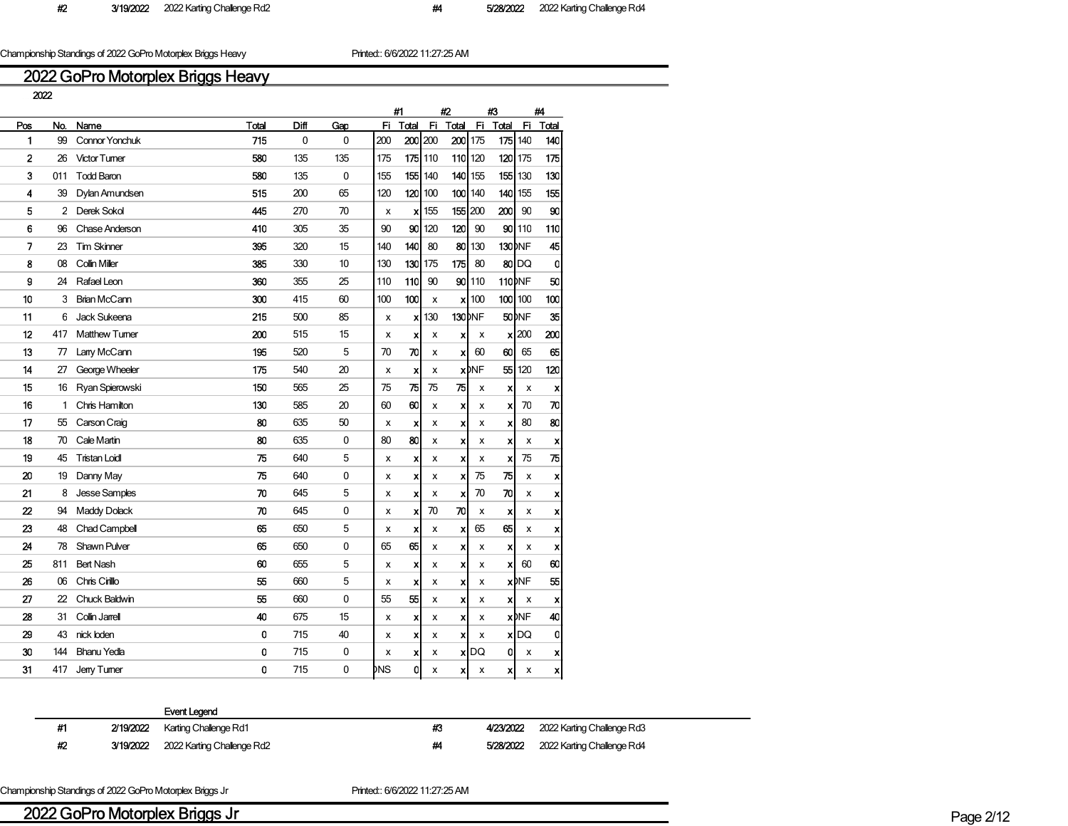Championship Standings of 2022 GoPro Motorplex Briggs Heavy Printed:: 6/6/2022 11:27:25 AM

## 2022 GoPro Motorplex Briggs Heavy

|     |     |                       |       |      |              | #1  |                        | #2                    |                               | #3                        |                         | #4                 |
|-----|-----|-----------------------|-------|------|--------------|-----|------------------------|-----------------------|-------------------------------|---------------------------|-------------------------|--------------------|
| Pos | No. | Name                  | Total | Diff | Gap          | Fi. | Total                  | Total<br>Fi.          | Fi                            | Total                     | Fi                      | Total              |
| 1   | 99  | <b>Connor Yonchuk</b> | 715   | 0    | 0            | 200 | 200 200                |                       | 200 175                       | 175                       | 140                     | 140                |
| 2   | 26  | <b>Victor Tumer</b>   | 580   | 135  | 135          | 175 | 175 110                |                       | 110 120                       |                           | <b>120 175</b>          | 175                |
| 3   | 011 | <b>Todd Baron</b>     | 580   | 135  | $\mathbf{0}$ | 155 | 155 140                | <b>140</b>            | 155                           | 155                       | 130                     | 130                |
| 4   | 39  | Dylan Amundsen        | 515   | 200  | 65           | 120 | $120$ 100              |                       | <b>100 140</b>                | <b>140</b>                | 155                     | 155                |
| 5   | 2   | Derek Sokol           | 445   | 270  | 70           | x   | $x$ 155                |                       | 155 200                       | 200                       | 90                      | 90                 |
| 6   | 96  | Chase Anderson        | 410   | 305  | 35           | 90  | 90 <sup>1</sup><br>120 | 120                   | 90                            | 90 I                      | 110                     | 110                |
| 7   | 23  | <b>Tim Skinner</b>    | 395   | 320  | 15           | 140 | 140                    | 80<br>80              | 130                           |                           | 130 NF                  | 45                 |
| 8   | 08  | Collin Miller         | 385   | 330  | 10           | 130 | 130<br>175             | 175                   | 80                            |                           | 80DQ                    | 0                  |
| g   | 24  | Rafael Leon           | 360   | 355  | 25           | 110 | 110                    | 90                    | <b>901110</b>                 |                           | 110 <sub>DNF</sub>      | 50                 |
| 10  | 3   | <b>Brian McCann</b>   | 300   | 415  | 60           | 100 | 100                    | x                     | $\boldsymbol{\mathsf{x}}$ 100 |                           | $100$ 100               | 100                |
| 11  | 6   | Jack Sukeena          | 215   | 500  | 85           | x   | 130<br>xl              |                       | 130 <sub>DNF</sub>            |                           | 50 <sub>DNF</sub>       | 35                 |
| 12  | 417 | <b>Matthew Tumer</b>  | 200   | 515  | 15           | x   | X                      | x<br>x                | x                             | xl                        | 200                     | 200                |
| 13  | 77  | Lany McCann           | 195   | 520  | 5            | 70  | 70                     | x<br>x                | 60                            | 60                        | 65                      | 65                 |
| 14  | 27  | George Wheeler        | 175   | 540  | 20           | x   | $\boldsymbol{x}$       | x                     | <b>x</b> <sub>DNF</sub>       | 55                        | 120                     | 120                |
| 15  | 16  | Ryan Spierowski       | 150   | 565  | 25           | 75  | 75                     | 75<br>75              | x                             | x                         | x                       | X                  |
| 16  | 1   | Chris Hamilton        | 130   | 585  | 20           | 60  | 60                     | x<br>x                | x                             | $\boldsymbol{\mathsf{x}}$ | 70                      | 70                 |
| 17  | 55  | Carson Craig          | 80    | 635  | 50           | x   | X                      | x<br>x                | x                             | $\mathbf x$               | 80                      | 80                 |
| 18  | 70  | Cale Martin           | 80    | 635  | 0            | 80  | 80                     | x<br>x                | x                             | x                         | x                       | X                  |
| 19  | 45  | <b>Tristan Loidl</b>  | 75    | 640  | 5            | x   | X                      | x<br>х                | x                             | x                         | 75                      | 75                 |
| 20  | 19  | Danny May             | 75    | 640  | 0            | x   | X                      | x<br>x                | 75                            | 75                        | x                       | x                  |
| 21  | 8   | Jesse Samples         | 70    | 645  | 5            | x   | X                      | $\boldsymbol{x}$<br>x | 70                            | 70                        | x                       | X                  |
| 22  | 94  | Maddy Dolack          | 70    | 645  | 0            | x   | X                      | 70<br>70              | x                             | $\boldsymbol{\mathsf{x}}$ | x                       | X                  |
| 23  | 48  | Chad Campbell         | 65    | 650  | 5            | x   | X                      | x<br>x                | 65                            | 65                        | x                       | $\pmb{\mathsf{x}}$ |
| 24  | 78  | <b>Shawn Pulver</b>   | 65    | 650  | $\mathbf 0$  | 65  | 65                     | $\boldsymbol{x}$<br>x | x                             | $\boldsymbol{\mathsf{x}}$ | x                       | X                  |
| 25  | 811 | <b>Bert Nash</b>      | 60    | 655  | 5            | x   | X                      | x<br>x                | x                             | X                         | 60                      | 60                 |
| 26  | 06  | Chris Cirillo         | 55    | 660  | 5            | x   | X                      | X<br>x                | x                             |                           | <b>x</b> MF             | 55                 |
| 27  | 22  | Chuck Baldwin         | 55    | 660  | $\mathbf 0$  | 55  | 55                     | x<br>x                | x                             | x                         | x                       | X                  |
| 28  | 31  | Collin Jarrell        | 40    | 675  | 15           | x   | X                      | x<br>x                | x                             |                           | <b>x</b> <sub>DNF</sub> | 40                 |
| 29  | 43  | nick loden            | 0     | 715  | 40           | х   | X                      | x<br>х                | x                             |                           | $x$ DQ                  | 0                  |
| 30  | 144 | <b>Bhanu Yedla</b>    | 0     | 715  | 0            | x   | X                      | $\boldsymbol{x}$<br>х | DQ                            | 0                         | х                       | x                  |
| 31  | 417 | Jerry Turner          | 0     | 715  | 0            | bns | O                      | X<br>$\boldsymbol{x}$ | x                             | x                         | x                       | x                  |

#### Event Legend

#1 2/19/2022 Karting Challenge Rd1 **1980 123 4/23/2022** 2022 Karting Challenge Rd3 #2 3/19/2022 2022 Karting Challenge Rd2 #4 5/28/2022 2022 Karting Challenge Rd4

Championship Standings of 2022 GoPro Motorplex Briggs Jr Printed:: 6/6/2022 11:27:25 AM

2022 GoPro Motorplex Briggs Jr Page 2/12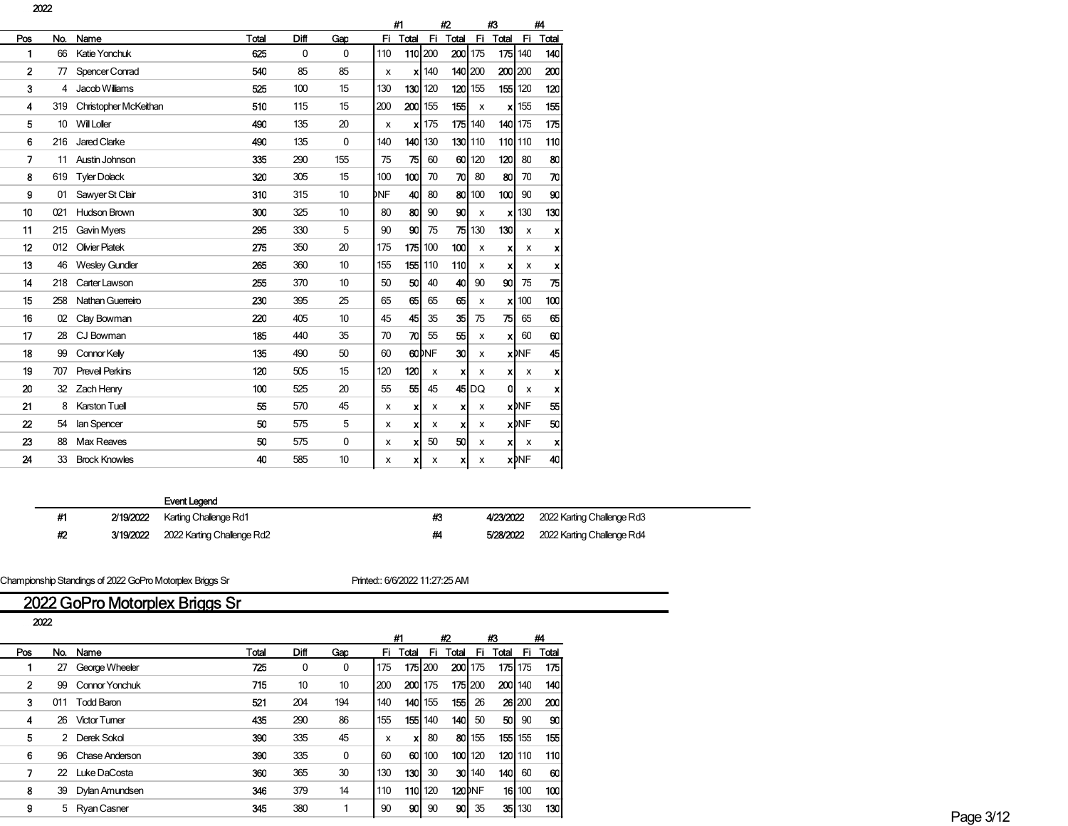|     |     |                        |       |      |              | #1  |                           |                   | #2                        |                | 43                        |                         | #4               |
|-----|-----|------------------------|-------|------|--------------|-----|---------------------------|-------------------|---------------------------|----------------|---------------------------|-------------------------|------------------|
| Pos | No. | Name                   | Total | Diff | Gap          | Fi  | Total                     | Fi.               | <b>Total</b>              | Fi             | Total                     | Fi                      | Total            |
| 1   | 66  | Katie Yonchuk          | 625   | 0    | $\mathbf{0}$ | 110 | 110 200                   |                   | 200                       | 175            | 175                       | 140                     | 140              |
| 2   | 77  | <b>Spencer Conrad</b>  | 540   | 85   | 85           | x   |                           | $x$ 140           | 140 200                   |                |                           | 200 200                 | 200              |
| 3   | 4   | Jacob Williams         | 525   | 100  | 15           | 130 | 130 I                     | 120               | 120                       | 155            | 155                       | 120                     | 120              |
| 4   | 319 | Christopher McKeithan  | 510   | 115  | 15           | 200 | 200 155                   |                   | 155                       | X              | X                         | 155                     | 155              |
| 5   | 10  | Will Loller            | 490   | 135  | 20           | x   |                           | $x$ 175           | 175                       | 140            |                           | <b>140 175</b>          | 175              |
| 6   | 216 | Jared Clarke           | 490   | 135  | 0            | 140 | 140 130                   |                   |                           | <b>130 110</b> |                           | <b>110 110</b>          | 110              |
| 7   | 11  | Austin Johnson         | 335   | 290  | 155          | 75  | 75                        | 60                | 60 <sup>1</sup>           | 120            | 120                       | 80                      | 80               |
| 8   | 619 | <b>Tyler Dolack</b>    | 320   | 305  | 15           | 100 | 100                       | 70                | 70                        | 80             | 80                        | 70                      | 70               |
| 9   | 01  | Sawyer St Clair        | 310   | 315  | 10           | DNF | 40                        | 80                | 80                        | 100            | 100 <sub>l</sub>          | 90                      | 90               |
| 10  | 021 | <b>Hudson Brown</b>    | 300   | 325  | 10           | 80  | 80                        | 90                | 90                        | x              | x                         | 130                     | 130              |
| 11  | 215 | Gavin Myers            | 295   | 330  | 5            | 90  | 90                        | 75                | 75 I                      | 130            | 130                       | x                       | x                |
| 12  | 012 | <b>Olivier Piatek</b>  | 275   | 350  | 20           | 175 | 175 100                   |                   | 100                       | x              | $\boldsymbol{\mathsf{x}}$ | x                       | x                |
| 13  | 46  | <b>Wesley Gundler</b>  | 265   | 360  | 10           | 155 | 155 110                   |                   | 110                       | x              | $\boldsymbol{\mathsf{x}}$ | х                       | x                |
| 14  | 218 | Carter Lawson          | 255   | 370  | 10           | 50  | 50                        | 40                | 40                        | 90             | 90 <sup>1</sup>           | 75                      | 75               |
| 15  | 258 | Nathan Guerreiro       | 230   | 395  | 25           | 65  | 65                        | 65                | 65                        | x              | x                         | 100                     | 100              |
| 16  | 02  | Clay Bowman            | 220   | 405  | 10           | 45  | 45                        | 35                | 35                        | 75             | 75                        | 65                      | 65               |
| 17  | 28  | CJ Bowman              | 185   | 440  | 35           | 70  | 70                        | 55                | 55                        | x              | x                         | 60                      | 60               |
| 18  | 99  | Connor Kelly           | 135   | 490  | 50           | 60  |                           | 60 <sup>bNF</sup> | 30                        | x              |                           | <b>x</b> <sub>DNF</sub> | 45               |
| 19  | 707 | <b>Preveil Perkins</b> | 120   | 505  | 15           | 120 | 120                       | x                 | $\boldsymbol{\mathsf{x}}$ | x              | $\boldsymbol{x}$          | х                       | x                |
| 20  | 32  | Zach Henry             | 100   | 525  | 20           | 55  | 55                        | 45                |                           | $45$ DQ        | ٥l                        | x                       | x                |
| 21  | 8   | Karston Tuell          | 55    | 570  | 45           | x   | $\boldsymbol{\mathsf{x}}$ | x                 | x                         | x              |                           | <b>x</b> <sub>DNF</sub> | 55               |
| 22  | 54  | lan Spencer            | 50    | 575  | 5            | x   | x                         | x                 | x                         | x              |                           | <b>x</b> NF             | 50               |
| 23  | 88  | <b>Max Reaves</b>      | 50    | 575  | 0            | x   | x                         | 50                | 50                        | x              | x                         | x                       | $\boldsymbol{x}$ |
| 24  | 33  | <b>Brock Knowles</b>   | 40    | 585  | 10           | x   | x                         | x                 | x                         | x              |                           | <b>x</b> <sub>DNF</sub> | 40               |
|     |     |                        |       |      |              |     |                           |                   |                           |                |                           |                         |                  |

#1 2/19/2022 Karting Challenge Rd1 #3 4/23/2022 2022 Karting Challenge Rd3 #2 3/19/2022 2022 Karting Challenge Rd2 #4 5/28/2022 2022 Karting Challenge Rd4

Championship Standings of 2022 GoPro Motorplex Briggs Sr Printed:: 6/6/2022 11:27:25 AM

# 2022 GoPro Motorplex Briggs Sr

| I |
|---|

|            |     |                   |       |      |     |     | #1      |                 | #2             |         | - #3                       |           | #4       |
|------------|-----|-------------------|-------|------|-----|-----|---------|-----------------|----------------|---------|----------------------------|-----------|----------|
| <b>Pos</b> | No. | Name              | Total | Diff | Gap |     |         |                 |                |         | Fi Total Fi Total Fi Total |           | Fi Total |
|            |     | 27 George Wheeler | 725   | 0    | 0   | 175 |         | 175 200         | <b>200 175</b> |         |                            | 175 175   | 175      |
|            |     | 99 Connor Yonchuk | 715   | 10   | 10  | 200 | 200 175 |                 |                | 175 200 |                            | 200 140   | - 140 I  |
|            | 011 | <b>Todd Baron</b> | 521   | 204  | 194 | 140 |         | <b>140 1</b> 55 | 155            | 26      |                            | 26 200    | - 200    |
|            |     | 26 Victor Tumer   | 435   | 290  | 86  | 155 |         | 155 140         | 140            | -50     | 50                         | 90        | -90 I    |
| 5          |     | 2 Derek Sokol     | 390   | 335  | 45  | X   |         | 80              |                | 80 155  |                            | $155$ 155 | 155      |
| 6.         |     | 96 Chase Anderson | 390   | 335  | 0   | 60  |         | 60 100          |                | 100 120 |                            | 120 110   | -110 l   |
|            |     | 22 Luke DaCosta   | 360   | 365  | 30  | 130 | 130     | 30              |                | 30 140  | 140                        | 60        | -60      |
| 8          |     | 39 Dylan Amundsen | 346   | 379  | 14  | 110 | 110 120 |                 | <b>120</b> DNF |         |                            | 16 100    | 100l     |
| 9          |     | 5 Ryan Casner     | 345   | 380  |     | 90  | 90      | 90              | 90             | 35      |                            | 35 130    | 130      |
|            |     |                   |       |      |     |     |         |                 |                |         |                            |           |          |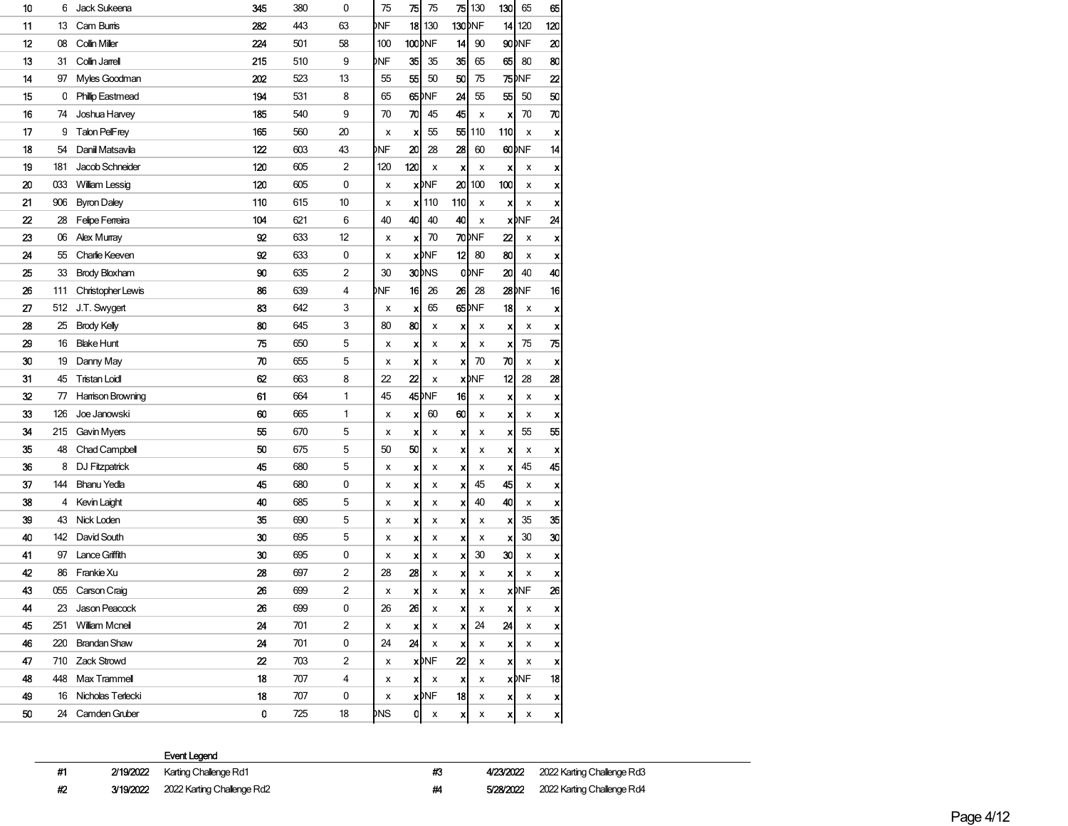| 10 | 6   | Jack Sukeena          | 345 | 380 | 0              | 75  | 75                        | 75                | 75  | 130                | 130 | 65                | 65  |
|----|-----|-----------------------|-----|-----|----------------|-----|---------------------------|-------------------|-----|--------------------|-----|-------------------|-----|
| 11 | 13  | Cam Burris            | 282 | 443 | 63             | DNF | 18                        | 130               |     | 130 <sub>DNF</sub> |     | 14 120            | 120 |
| 12 | 08  | Collin Miller         | 224 | 501 | 58             | 100 | 100 <sub>DNF</sub>        |                   | 14  | 90                 |     | 90 <sub>DNF</sub> | 20  |
| 13 | 31  | Collin Jarrell        | 215 | 510 | 9              | DNF | 35                        | 35                | 35  | 65                 | 65  | 80                | 80  |
| 14 | 97  | Myles Goodman         | 202 | 523 | 13             | 55  | 55                        | 50                | 50  | 75                 |     | <b>75</b> MF      | 22  |
| 15 | 0   | Phillip Eastmead      | 194 | 531 | 8              | 65  |                           | 65 <sub>DNF</sub> | 24  | 55                 | 55  | 50                | 50  |
| 16 | 74  | Joshua Harvey         | 185 | 540 | 9              | 70  | 70                        | 45                | 45  | x                  | X   | 70                | 70  |
| 17 | 9   | Talon PelFrey         | 165 | 560 | 20             | x   | x                         | 55                | 55  | 110                | 110 | x                 | X   |
| 18 | 54  | Daniil Matsavila      | 122 | 603 | 43             | DNF | 20                        | 28                | 28  | 60                 |     | 60 <sub>DNF</sub> | 14  |
| 19 | 181 | Jacob Schneider       | 120 | 605 | 2              | 120 | 120                       | $\pmb{\times}$    | X   | x                  | x   | X                 | x   |
| 20 | 033 | William Lessig        | 120 | 605 | 0              | x   |                           | <b>x</b> DNF      | 20  | 100                | 100 | x                 | x   |
| 21 | 906 | <b>Byron Daley</b>    | 110 | 615 | 10             | x   |                           | $x$   110         | 110 | х                  | X   | x                 | X   |
| 22 | 28  | Felipe Ferreira       | 104 | 621 | 6              | 40  | 40                        | 40                | 40  | x                  |     | <b>x</b> )NF      | 24  |
| 23 | 06  | Alex Murray           | 92  | 633 | 12             | x   | x                         | 70                |     | 70)NF              | 22  | X                 | x   |
| 24 | 55  | Charlie Keeven        | 92  | 633 | 0              | x   |                           | <b>x</b> DNF      | 12  | 80                 | 80  | x                 | x   |
| 25 | 33  | <b>Brody Bloxham</b>  | 90  | 635 | 2              | 30  |                           | 30 <sub>pNS</sub> |     | <b>ODNF</b>        | 20  | 40                | 40  |
| 26 | 111 | Christopher Lewis     | 86  | 639 | 4              | DNF | 16                        | 26                | 26  | 28                 |     | 28 INF            | 16  |
| 27 | 512 | J.T. Swygert          | 83  | 642 | 3              | x   | x                         | 65                |     | 65)NF              | 18  | x                 | X   |
| 28 | 25  | <b>Brody Kelly</b>    | 80  | 645 | 3              | 80  | 80                        | x                 | x   | х                  | x   | x                 | x   |
| 29 | 16  | <b>Blake Hunt</b>     | 75  | 650 | 5              | х   | x                         | х                 | X   | х                  | x   | 75                | 75  |
| 30 | 19  | Danny May             | 70  | 655 | 5              | x   | x                         | x                 | x   | 70                 | 70  | X                 | X   |
| 31 | 45  | <b>Tristan Loidl</b>  | 62  | 663 | 8              | 22  | $\boldsymbol{z}$          | x                 |     | <b>x</b> DNF       | 12  | 28                | 28  |
| 32 | 77  | Harrison Browning     | 61  | 664 | 1              | 45  |                           | 45 <sub>DNF</sub> | 16  | х                  | x   | x                 | X   |
| 33 | 126 | Joe Janowski          | 60  | 665 | 1              | x   | x                         | 60                | 60  | х                  | x   | X                 | X   |
| 34 | 215 | Gavin Myers           | 55  | 670 | 5              | x   | x                         | x                 | x   | х                  | X   | 55                | 55  |
| 35 | 48  | Chad Campbell         | 50  | 675 | 5              | 50  | 50                        | x                 | x   | х                  | X   | x                 | X   |
| 36 | 8   | DJ Fitzpatrick        | 45  | 680 | 5              | х   | x                         | x                 | X   | x                  | x   | 45                | 45  |
| 37 | 144 | <b>Bhanu Yedla</b>    | 45  | 680 | 0              | x   | x                         | x                 | X   | 45                 | 45  | x                 | x   |
| 38 | 4   | Kevin Laight          | 40  | 685 | 5              | x   | x                         | x                 | x   | 40                 | 40  | x                 | x   |
| 39 | 43  | Nick Loden            | 35  | 690 | 5              | x   | x                         | x                 | x   | х                  | X   | 35                | 35  |
| 40 | 142 | David South           | 30  | 695 | 5              | x   | x                         | x                 | X   | х                  | x   | 30                | 30  |
| 41 | 97  | Lance Griffith        | 30  | 695 | 0              | x   | x                         | x                 | x   | 30                 | 30  | x                 | X   |
| 42 | 86  | Frankie Xu            | 28  | 697 | 2              | 28  | 28                        | x                 | x   | х                  | x   | x                 | X   |
| 43 | 055 | Carson Craig          | 26  | 699 | 2              | х   | x                         | x                 | x   | x                  |     | <b>x</b> DNF      | 26  |
| 44 | 23  | Jason Peacock         | 26  | 699 | 0              | 26  | 26                        | х                 | x   | x                  | x   | X                 | x   |
| 45 | 251 | <b>William Mcneil</b> | 24  | 701 | 2              | x   | x                         | х                 | x   | 24                 | 24  | x                 | x   |
| 46 | 220 | <b>Brandan Shaw</b>   | 24  | 701 | 0              | 24  | 24                        | х                 | x   | х                  | x   | x                 | x   |
| 47 |     | 710 Zack Strowd       | 22  | 703 | $\overline{a}$ | x   |                           | <b>x</b> DNF      | 22  | х                  | xl  | x                 | x   |
| 48 | 448 | Max Trammell          | 18  | 707 | 4              | x   | $\boldsymbol{\mathsf{x}}$ | х                 | x   | x                  |     | <b>x</b> DNF      | 18  |
| 49 |     | 16 Nicholas Terlecki  | 18  | 707 | 0              | x   |                           | <b>x</b> DNF      | 18  | х                  | x   | x                 | x   |
| 50 |     | 24 Camden Gruber      | 0   | 725 | 18             | DNS | 0I                        | x                 | X   | х                  | хI  | x                 | X   |

#1 2/19/2022 Karting Challenge Rd1 **#3 4/23/2022** 2022 Karting Challenge Rd3

#2 3/19/2022 2022 Karting Challenge Rd2 **#4 5/28/2022** 2022 Karting Challenge Rd4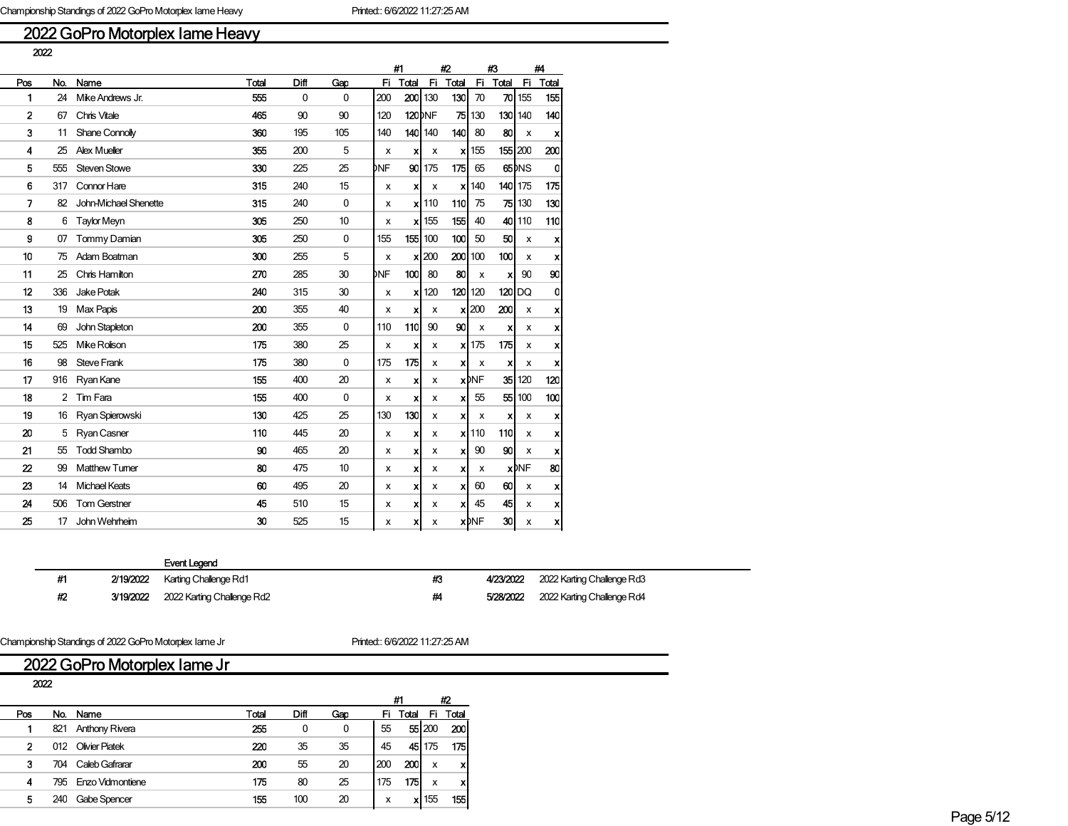## 2022 GoPro Motorplex Iame Heavy

|                  |     |                       |       |      |     |     | #1                 |         |       | #3                      |                           | #4                 |                           |
|------------------|-----|-----------------------|-------|------|-----|-----|--------------------|---------|-------|-------------------------|---------------------------|--------------------|---------------------------|
| Pos              | No. | Name                  | Total | Diff | Gap | Fi. | Total              | Fi.     | Total | Fi.                     | Total                     | Fi.                | Total                     |
| 1                | 24  | Mike Andrews Jr.      | 555   | 0    | 0   | 200 |                    | 200 130 | 130   | 70                      | 70                        | 155                | 155                       |
| 2                | 67  | Chris Vitale          | 465   | 90   | 90  | 120 | 120 <sub>bNF</sub> |         |       | 75 130                  |                           | 130 140            | 140                       |
| 3                | 11  | Shane Connolly        | 360   | 195  | 105 | 140 | 140                | 140     | 140   | 80                      | 80                        | x                  | $\boldsymbol{\mathsf{x}}$ |
| 4                | 25  | <b>Alex Mueller</b>   | 355   | 200  | 5   | x   | x                  | x       | xl    | 155                     |                           | 155 200            | 200                       |
| 5                | 555 | Steven Stowe          | 330   | 225  | 25  | DNF | 90                 | 175     | 175   | 65                      |                           | 65 <sup>b</sup> NS | 0                         |
| 6                | 317 | Connor Hare           | 315   | 240  | 15  | x   | x                  | х       | x     | 140                     |                           | 140 175            | 175                       |
| 7                | 82  | John-Michael Shenette | 315   | 240  | 0   | x   |                    | $x$ 110 | 110   | 75                      |                           | <b>75 130</b>      | 130                       |
| 8                | 6   | <b>Taylor Meyn</b>    | 305   | 250  | 10  | x   |                    | $x$ 155 | 155   | 40                      |                           | 40 110             | 110                       |
| g                | 07  | Tommy Damian          | 305   | 250  | 0   | 155 |                    | 155 100 | 100   | 50                      | 50                        | x                  | $\boldsymbol{\mathsf{x}}$ |
| 10               | 75  | Adam Boatman          | 300   | 255  | 5   | x   | x                  | 200     | 200   | 100                     | 100                       | x                  | x                         |
| 11               | 25  | Chris Hamilton        | 270   | 285  | 30  | DNF | 100 <sub>l</sub>   | 80      | 80    | x                       | x                         | 90                 | 90                        |
| 12               | 336 | Jake Potak            | 240   | 315  | 30  | x   | x                  | 120     | 120   | 120                     | 120                       | DQ                 | 0                         |
| 13               | 19  | <b>Max Papis</b>      | 200   | 355  | 40  | x   | x                  | x       | x     | 200                     | 200                       | x                  | x                         |
| 14               | 69  | John Stapleton        | 200   | 355  | 0   | 110 | 110                | 90      | 90    | x                       | x                         | x                  | $\boldsymbol{\mathsf{x}}$ |
| 15               | 525 | Mike Rolison          | 175   | 380  | 25  | х   | x                  | x       |       | $x$   175               | 175                       | x                  | $\boldsymbol{\mathsf{x}}$ |
| 16               | 98  | <b>Steve Frank</b>    | 175   | 380  | 0   | 175 | 175                | x       | x     | x                       | $\boldsymbol{\mathsf{x}}$ | x                  | $\boldsymbol{\mathsf{x}}$ |
| 17               | 916 | Ryan Kane             | 155   | 400  | 20  | x   | X                  | x       |       | <b>x</b> <sub>DNF</sub> | 35                        | 120                | 120                       |
| 18               | 2   | Tim Fara              | 155   | 400  | 0   | x   | x                  | x       | x     | 55                      | 55                        | 100                | 100                       |
| 19               | 16  | Ryan Spierowski       | 130   | 425  | 25  | 130 | 130                | x       | x     | х                       | x                         | х                  | $\boldsymbol{\mathsf{x}}$ |
| 20               | 5   | Ryan Casner           | 110   | 445  | 20  | x   | X                  | х       |       | $x$ 110                 | 110                       | x                  | $\boldsymbol{\mathsf{x}}$ |
| 21               | 55  | <b>Todd Shambo</b>    | 90    | 465  | 20  | x   | x                  | x       | x     | 90                      | 90                        | x                  | $\boldsymbol{x}$          |
| $\boldsymbol{z}$ | 99  | <b>Matthew Tumer</b>  | 80    | 475  | 10  | x   | x                  | x       | x     | x                       |                           | <b>x</b> MF        | 80                        |
| 23               | 14  | <b>Michael Keats</b>  | 60    | 495  | 20  | x   | x                  | х       | x     | 60                      | 60                        | х                  | $\boldsymbol{\mathsf{x}}$ |
| 24               | 506 | <b>Tom Gerstner</b>   | 45    | 510  | 15  | х   | x                  | x       | x     | 45                      | 45                        | х                  | $\boldsymbol{\mathsf{x}}$ |
| 25               | 17  | John Wehrheim         | 30    | 525  | 15  | x   | xl                 | x       |       | <b>x</b> <sub>DNF</sub> | 30                        | x                  | x                         |

## Event Legend

#1 2/19/2022 Karting Challenge Rd1 **#3 4/23/2022** 2022 Karting Challenge Rd3

#2 3/19/2022 2022 Karting Challenge Rd2 #4 5/28/2022 2022 Karting Challenge Rd4

Championship Standings of 2022 GoPro Motorplex Iame Jr Printed:: 6/6/2022 11:27:25 AM

## 2022 GoPro Motorplex Iame Jr

|     | 2022 |                       |       |      |     |     |       |           |       |
|-----|------|-----------------------|-------|------|-----|-----|-------|-----------|-------|
|     |      |                       |       |      |     |     | #1    |           | #2    |
| Pos | No.  | Name                  | Total | Diff | Gap | Fi  | Total | Fi        | Total |
|     | 821  | <b>Anthony Rivera</b> | 255   | 0    | 0   | 55  | 551   | 200       | 200   |
| 2   | 012  | <b>Olivier Piatek</b> | 220   | 35   | 35  | 45  |       | 45 175    | 175   |
| з   | 704  | Caleb Gafrarar        | 200   | 55   | 20  | 200 | 200   | X         | x     |
| 4   | 795  | Enzo Vidmontiene      | 175   | 80   | 25  | 175 | 175   | x         | x     |
| 5   | 240  | Gabe Spencer          | 155   | 100  | 20  | x   |       | $x$   155 | 155   |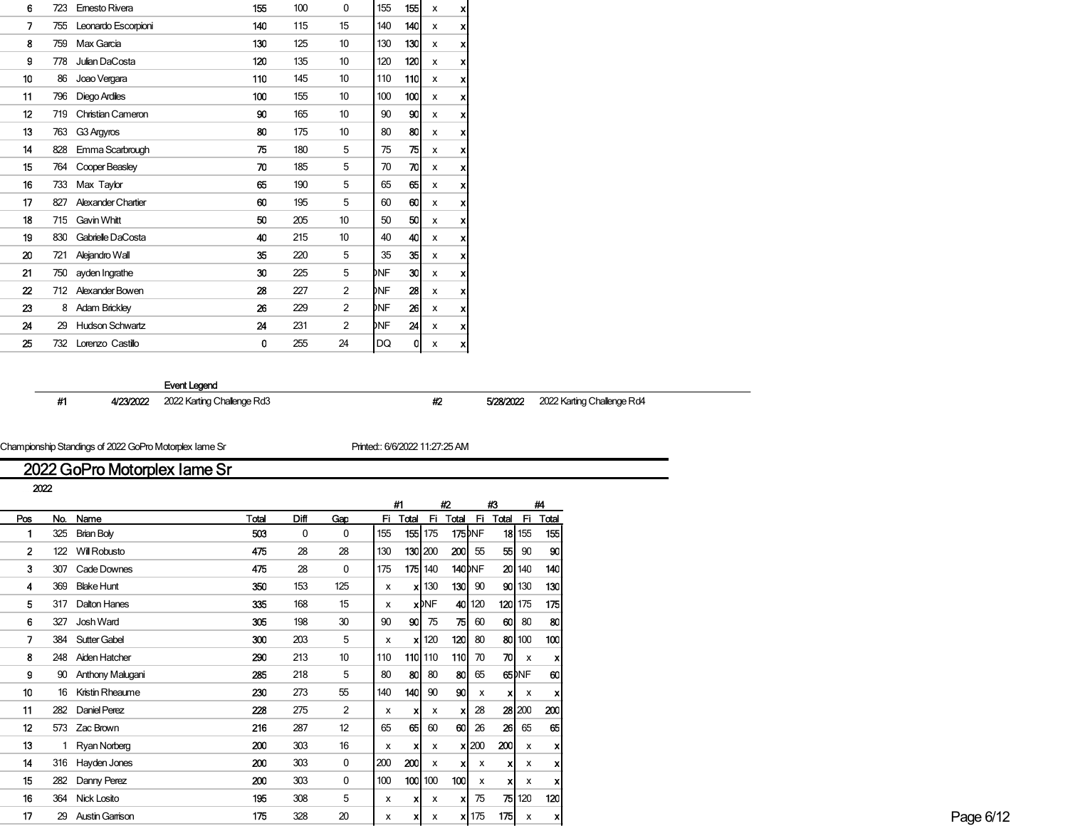| 6  | 723 | Emesto Rivera             | 155 | 100 | 0  | 155 | 155 | x | x                         |  |
|----|-----|---------------------------|-----|-----|----|-----|-----|---|---------------------------|--|
| 7  | 755 | Leonardo Escorpioni       | 140 | 115 | 15 | 140 | 140 | x | $\boldsymbol{x}$          |  |
| 8  | 759 | Max Garcia                | 130 | 125 | 10 | 130 | 130 | x | $\boldsymbol{x}$          |  |
| 9  | 778 | Julian DaCosta            | 120 | 135 | 10 | 120 | 120 | x | x                         |  |
| 10 | 86  | Joao Vergara              | 110 | 145 | 10 | 110 | 110 | x | x                         |  |
| 11 | 796 | Diego Ardiles             | 100 | 155 | 10 | 100 | 100 | x | x                         |  |
| 12 | 719 | <b>Christian Cameron</b>  | 90  | 165 | 10 | 90  | 90  | x | x                         |  |
| 13 | 763 | G3 Argyros                | 80  | 175 | 10 | 80  | 80  | x | x                         |  |
| 14 | 828 | Emma Scarbrough           | 75  | 180 | 5  | 75  | 75  | x | x                         |  |
| 15 | 764 | Cooper Beasley            | 70  | 185 | 5  | 70  | 70  | x | $\boldsymbol{x}$          |  |
| 16 | 733 | Max Taylor                | 65  | 190 | 5  | 65  | 65  | x | $\boldsymbol{\mathsf{x}}$ |  |
| 17 | 827 | <b>Alexander Chartier</b> | 60  | 195 | 5  | 60  | 60  | x | $\boldsymbol{x}$          |  |
| 18 | 715 | Gavin Whitt               | 50  | 205 | 10 | 50  | 50  | x | x                         |  |
| 19 | 830 | Gabrielle DaCosta         | 40  | 215 | 10 | 40  | 40  | x | x                         |  |
| 20 | 721 | Alejandro Wall            | 35  | 220 | 5  | 35  | 35  | x | x                         |  |
| 21 | 750 | ayden Ingrathe            | 30  | 225 | 5  | DNF | 30  | x | x                         |  |
| 22 | 712 | Alexander Bowen           | 28  | 227 | 2  | DNF | 28  | x | x                         |  |
| 23 | 8   | <b>Adam Brickley</b>      | 26  | 229 | 2  | DNF | 26  | x | x                         |  |
| 24 | 29  | <b>Hudson Schwartz</b>    | 24  | 231 | 2  | DNF | 24  | x | $\boldsymbol{x}$          |  |
| 25 | 732 | Lorenzo Castillo          | 0   | 255 | 24 | DQ  | 0   | x | xl                        |  |

#1 4/23/2022 2022 Karting Challenge Rd3 #2 5/28/2022 2022 Karting Challenge Rd4

Championship Standings of 2022 GoPro Motorplex Iame Sr **Printed:: 6/6/2022 11:27:25 AM** 

# 2022 GoPro Motorplex Iame Sr

|     | 2022 |                     |       |      |                 |                           |          |                               |                |              |          |                           |       |
|-----|------|---------------------|-------|------|-----------------|---------------------------|----------|-------------------------------|----------------|--------------|----------|---------------------------|-------|
|     |      |                     |       |      |                 |                           | #1       |                               | #2             | #3           |          |                           | #4    |
| Pos |      | No. Name            | Total | Diff | Gap             |                           | Fi Total | - Fi                          | Total Fi       |              | Total Fi |                           | Total |
|     |      | 325 Brian Boly      | 503   | 0    | 0               | 155                       |          | <b>155 1</b> 75               | <b>175</b> DNF |              |          | $18$ 155                  | 155   |
|     |      | 122 Will Robusto    | 475   | 28   | 28              | 130                       |          | 130 200                       | 200            | 55           | 55       | 90                        | 90    |
| 3   |      | 307 Cade Downes     | 475   | 28   | 0               | 175                       |          | 175 140                       | <b>140</b> DNF |              |          | 20 140                    | 140   |
|     |      | 369 Blake Hunt      | 350   | 153  | 125             | $\boldsymbol{\mathsf{x}}$ |          | $x$ 130                       | 130            | 90           |          | 90 130                    | 130   |
|     |      | 317 Dalton Hanes    | 335   | 168  | 15              | $\boldsymbol{\mathsf{x}}$ |          | <b>x</b> DNF                  |                | 40 120       |          | $120$ 175                 | 175   |
| 6   | 327  | Josh Ward           | 305   | 198  | 30              | 90                        | 90       | 75                            | 75             | 60           | 60       | 80                        | -80   |
|     |      | 384 Sutter Gabel    | 300   | 203  | 5               | x                         |          | $\boldsymbol{\mathsf{x}}$ 120 | 120            | 80           |          | 80 100                    | 100   |
|     |      | 248 Aiden Hatcher   | 290   | 213  | 10 <sup>°</sup> | 110                       |          | 110 110                       | 110 70         |              | 끼        | $\boldsymbol{\mathsf{x}}$ | X     |
| g   |      | 90 Anthony Malugani | 285   | 218  | 5               | 80                        | 80       | 80                            | 80             | 65           |          | 65 DNF                    | 60    |
| 10  |      | 16 Kristin Rheaume  | 230   | 273  | 55              | 140                       | 140      | 90                            | 90             | X            | хI       | X                         | x     |
| 11  |      | 282 Daniel Perez    | 228   | 275  | $\overline{2}$  | x                         |          | x                             | x              | 28           |          | 28 200                    | 200   |
| 12  |      | 573 Zac Brown       | 216   | 287  | 12              | 65                        | 65       | 60                            | 60             | 26           | 26       | 65                        | 65    |
| 13  |      | 1 Ryan Norberg      | 200   | 303  | 16              | x                         |          | x                             |                | $x$  200     | 200      | x                         | X     |
| 14  |      | 316 Hayden Jones    | 200   | 303  | 0               | 200                       | 200      | X                             | XI.            | X            | хI       | x                         | ×     |
| 15  |      | 282 Danny Perez     | 200   | 303  | $\mathbf 0$     | 100                       |          | $100$ 100                     | 100            | $\mathbf{x}$ | хI       | $\boldsymbol{\mathsf{X}}$ | X     |
| 16  |      | 364 Nick Losito     | 195   | 308  | 5               | X                         |          | x                             |                | $x$ 75       |          | 75 120                    | 120   |
| 17  |      | 29 Austin Garrison  | 175   | 328  | 20              | х                         |          | x                             |                | $x$ 175      | 175      | x                         | хI    |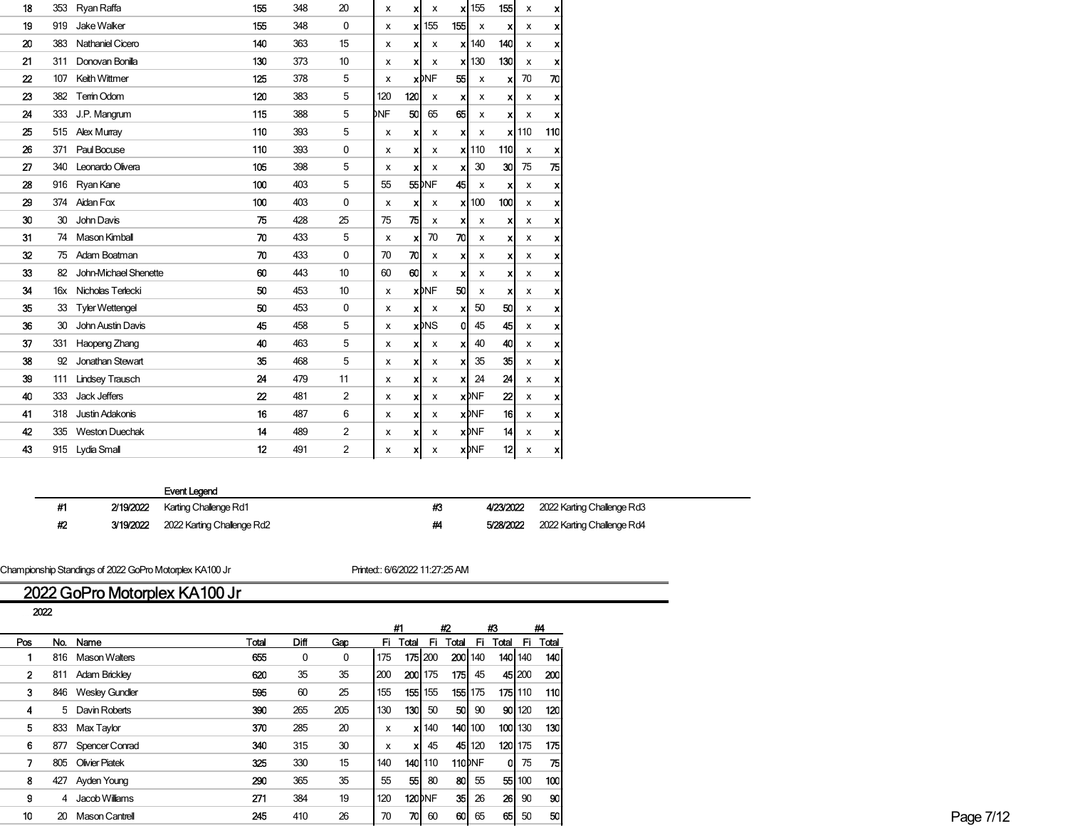| 18               | 353 | Ryan Raffa             | 155              | 348 | 20             | x   | X                         | x                        | xl                        | 155          | 155              | x   | ×                |
|------------------|-----|------------------------|------------------|-----|----------------|-----|---------------------------|--------------------------|---------------------------|--------------|------------------|-----|------------------|
| 19               | 919 | Jake Walker            | 155              | 348 | 0              | x   | x                         | 155                      | 155                       | x            | x                | x   | $\boldsymbol{x}$ |
| 20               | 383 | Nathaniel Cicero       | 140              | 363 | 15             | x   | x                         | x                        | xl                        | 140          | 140              | x   | X                |
| 21               | 311 | Donovan Bonilla        | 130              | 373 | 10             | x   | x                         | x                        | xl                        | 130          | 130              | x   | x                |
| $\boldsymbol{z}$ | 107 | Keith Wittmer          | 125              | 378 | 5              | x   |                           | <b>x</b> <sub>DNF</sub>  | 55                        | х            | X                | 70  | 70               |
| 23               | 382 | Terrin Odom            | 120              | 383 | 5              | 120 | 120                       | x                        | $\boldsymbol{\mathsf{x}}$ | х            | x                | х   | x                |
| 24               | 333 | J.P. Mangrum           | 115              | 388 | 5              | DNF | 50                        | 65                       | 65                        | x            | X                | x   | ×                |
| 25               | 515 | Alex Murray            | 110              | 393 | 5              | x   | x                         | x                        | $\boldsymbol{\mathsf{x}}$ | x            | x                | 110 | 110              |
| 26               | 371 | Paul Bocuse            | 110              | 393 | 0              | x   | x                         | x                        |                           | $x$   110    | 110              | X   | x                |
| 27               | 340 | Leonardo Olivera       | 105              | 398 | 5              | x   | x                         | x                        | $\boldsymbol{\mathsf{x}}$ | 30           | 30               | 75  | 75               |
| 28               | 916 | Ryan Kane              | 100              | 403 | 5              | 55  |                           | 55 <sup>bNF</sup>        | 45                        | x            | x                | x   | x                |
| 29               | 374 | Aidan Fox              | 100              | 403 | 0              | x   | $\boldsymbol{\mathsf{x}}$ | x                        | xl                        | 100          | 100              | x   | x                |
| 30               | 30  | John Davis             | 75               | 428 | 25             | 75  | 75                        | x                        | x                         | x            | X                | х   | x                |
| 31               | 74  | Mason Kimball          | 70               | 433 | 5              | x   | x                         | 70                       | 70                        | x            | x                | х   | x                |
| 32               | 75  | Adam Boatman           | 70               | 433 | 0              | 70  | 70                        | х                        | $\boldsymbol{\mathsf{x}}$ | х            | X                | х   | ×                |
| 33               | 82  | John-Michael Shenette  | 60               | 443 | 10             | 60  | 60                        | x                        | $\boldsymbol{\mathsf{x}}$ | х            | X                | x   | ×                |
| 34               | 16x | Nicholas Terlecki      | 50               | 453 | 10             | x   |                           | <b>x</b> <sub>DNF</sub>  | 50                        | X            | x                | x   | x                |
| 35               | 33  | <b>Tyler Wettengel</b> | 50               | 453 | $\mathbf 0$    | x   | x                         | x                        | x                         | 50           | 50               | x   | x                |
| 36               | 30  | John Austin Davis      | 45               | 458 | 5              | x   |                           | <b>x</b> b <sub>NS</sub> | $\overline{0}$            | 45           | 45               | x   | $\boldsymbol{x}$ |
| 37               | 331 | Haopeng Zhang          | 40               | 463 | 5              | x   | $\boldsymbol{\mathsf{x}}$ | x                        | $\boldsymbol{\mathsf{x}}$ | 40           | 40               | x   | x                |
| 38               | 92  | Jonathan Stewart       | 35               | 468 | 5              | x   | x                         | x                        | x                         | 35           | 35               | x   | x                |
| 39               | 111 | <b>Lindsey Trausch</b> | 24               | 479 | 11             | x   | x                         | x                        | x                         | 24           | 24               | x   | x                |
| 40               | 333 | Jack Jeffers           | $\boldsymbol{z}$ | 481 | 2              | x   | x                         | x                        |                           | <b>x</b> DNF | $\boldsymbol{z}$ | x   | ×                |
| 41               | 318 | <b>Justin Adakonis</b> | 16               | 487 | 6              | x   | x                         | x                        |                           | <b>x</b> MF  | 16               | x   | ×                |
| 42               | 335 | <b>Weston Duechak</b>  | 14               | 489 | $\overline{c}$ | х   | x                         | x                        |                           | <b>x</b> DNF | 14               | х   | x                |
| 43               | 915 | Lydia Small            | 12               | 491 | 2              | x   | x                         | x                        |                           | <b>x</b> DNF | 12               | x   | ×                |
|                  |     |                        |                  |     |                |     |                           |                          |                           |              |                  |     |                  |

| -#1  | 2/19/2022 Karting Challenge Rd1      | 43 | 4/23/2022 2022 Karting Challenge Rd3 |
|------|--------------------------------------|----|--------------------------------------|
| - 42 | 3/19/2022 2022 Karting Challenge Rd2 |    | 5/28/2022 2022 Karting Challenge Rd4 |

Championship Standings of 2022 GoPro Motorplex KA100 Jr Printed:: 6/6/2022 11:27:25 AM

# 2022 GoPro Motorplex KA100 Jr

| 2022 |                    |       |              |     |                           |          |              |         |        |                 |                 |            |
|------|--------------------|-------|--------------|-----|---------------------------|----------|--------------|---------|--------|-----------------|-----------------|------------|
|      |                    |       |              |     |                           | #1       | #2           |         |        | #3              |                 | #4         |
| Pos  | No. Name           | Total | <b>Diff</b>  | Gap |                           | Fi Total | -FL          | Total   | -Fi    | Total           | - Fi            | Total      |
|      | 816 Mason Walters  | 655   | $\mathbf{0}$ | 0   | 175                       |          | 175 200      | 200 140 |        | <b>140 1</b> 40 |                 | 140        |
|      | 811 Adam Brickley  | 620   | 35           | 35  | 200                       |          | $200$ 175    | 175     | 45     |                 | 45 200          | <b>200</b> |
|      | 846 Wesley Gundler | 595   | 60           | 25  | 155                       |          | 155 155      | 155 175 |        | 175 110         |                 | 110        |
|      | 5 Davin Roberts    | 390   | 265          | 205 | 130                       | 130      | 50           | 50      | 90     |                 | 90 120          | 120        |
|      | 833 Max Taylor     | 370   | 285          | 20  | $\boldsymbol{\mathsf{x}}$ |          | <b>x</b> 140 | 140 100 |        | 100 130         |                 | 130        |
|      | 877 Spencer Conrad | 340   | 315          | 30  | $\boldsymbol{\mathsf{x}}$ |          | 45           |         | 45 120 | $120$ 175       |                 | 175 I      |
|      | 805 Olivier Piatek | 325   | 330          | 15  | 140                       |          | 140 110      | 110)NF  |        |                 | 0 <sup>75</sup> | 75 I       |
| 8.   | 427 Ayden Young    | 290   | 365          | 35  | 55                        | 55       | 80           | -80     | 55     |                 | 55 100          | 100        |
| 9.   | 4 Jacob Williams   | 271   | 384          | 19  | 120                       |          | 120) NF      | 35      | 26     | 26              | 90              | 90         |
| 10   | 20 Mason Cantrell  | 245   | 410          | 26  | 70                        | 701      | 60           | 60      | 65     | 65              | 50              | 50         |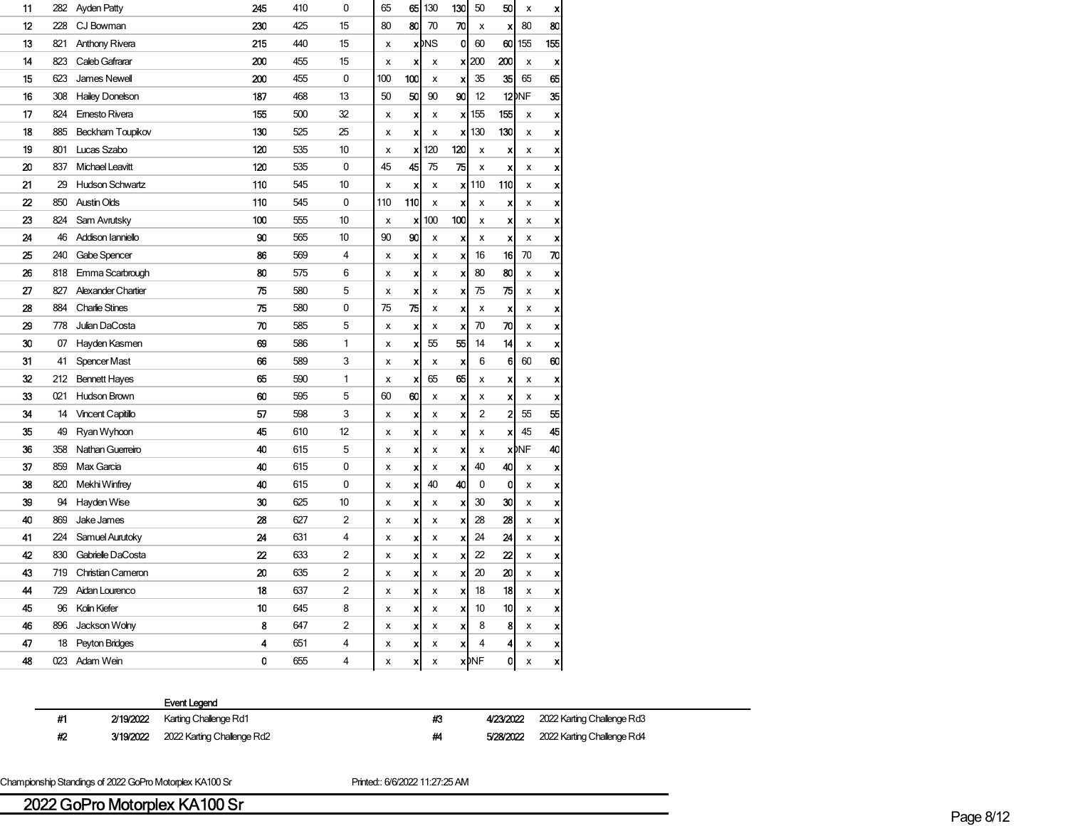| 11 | 282 | Ayden Patty               | 245 | 410 | 0  | 65  | 65  | 130               | 130 | 50          | 50           | x                       | X                         |
|----|-----|---------------------------|-----|-----|----|-----|-----|-------------------|-----|-------------|--------------|-------------------------|---------------------------|
| 12 | 228 | CJ Bowman                 | 230 | 425 | 15 | 80  | 80  | 70                | 70  | х           | x            | 80                      | 80                        |
| 13 | 821 | <b>Anthony Rivera</b>     | 215 | 440 | 15 | X   |     | $x$ <sub>MS</sub> | 0   | 60          | 60           | 155                     | 155                       |
| 14 | 823 | Caleb Gafrarar            | 200 | 455 | 15 | x   | X   | x                 |     | $x$  200    | 200          | X                       | X                         |
| 15 | 623 | James Newell              | 200 | 455 | 0  | 100 | 100 | x                 | x   | 35          | 35           | 65                      | 65                        |
| 16 | 308 | <b>Hailey Donelson</b>    | 187 | 468 | 13 | 50  | 50  | 90                | 90  | 12          |              | 12 <sup>DNF</sup>       | 35                        |
| 17 | 824 | <b>Emesto Rivera</b>      | 155 | 500 | 32 | X   | X   | x                 | xl  | 155         | 155          | X                       | $\boldsymbol{\mathsf{x}}$ |
| 18 | 885 | Beckham Toupikov          | 130 | 525 | 25 | X   | X   | X                 | x   | 130         | 130          | x                       | X                         |
| 19 | 801 | Lucas Szabo               | 120 | 535 | 10 | X   | x   | 120               | 120 | X           | X            | x                       | X                         |
| 20 | 837 | <b>Michael Leavitt</b>    | 120 | 535 | 0  | 45  | 45  | 75                | 75  | X           | X            | x                       | X                         |
| 21 | 29  | <b>Hudson Schwartz</b>    | 110 | 545 | 10 | x   | X   | x                 | x   | 110         | 110          | x                       | X                         |
| 22 | 850 | <b>Austin Olds</b>        | 110 | 545 | 0  | 110 | 110 | x                 | X   | x           | x            | x                       | X                         |
| 23 | 824 | Sam Avrutsky              | 100 | 555 | 10 | x   | x   | 100               | 100 | x           | x            | x                       | X                         |
| 24 | 46  | Addison Ianniello         | 90  | 565 | 10 | 90  | 90  | X                 | X   | X           | x            | X                       | X                         |
| 25 | 240 | Gabe Spencer              | 86  | 569 | 4  | x   | X   | x                 | X   | 16          | 16           | 70                      | 70                        |
| 26 | 818 | Emma Scarbrough           | 80  | 575 | 6  | x   | X   | x                 | X   | 80          | 80           | x                       | X                         |
| 27 | 827 | <b>Alexander Chartier</b> | 75  | 580 | 5  | x   | X   | x                 | X   | 75          | 75           | x                       | X                         |
| 28 | 884 | <b>Charlie Stines</b>     | 75  | 580 | 0  | 75  | 75  | x                 | X   | x           | X            | x                       | X                         |
| 29 | 778 | Julian DaCosta            | 70  | 585 | 5  | X   | X   | X                 | X   | 70          | 70           | x                       | $\boldsymbol{\mathsf{x}}$ |
| 30 | 07  | Hayden Kasmen             | 69  | 586 | 1  | x   | X   | 55                | 55  | 14          | 14           | x                       | $\boldsymbol{x}$          |
| 31 | 41  | <b>Spencer Mast</b>       | 66  | 589 | 3  | x   | X   | X                 | X   | 6           | 6            | 60                      | 60                        |
| 32 | 212 | <b>Bennett Hayes</b>      | 65  | 590 | 1  | x   | X   | 65                | 65  | x           | X            | x                       | X                         |
| 33 | 021 | <b>Hudson Brown</b>       | 60  | 595 | 5  | 60  | 60  | x                 | x   | x           | ×            | x                       | x                         |
| 34 | 14  | <b>Vincent Capitillo</b>  | 57  | 598 | 3  | X   | X   | x                 | X   | 2           | $\mathbf{2}$ | 55                      | 55                        |
| 35 | 49  | Ryan Wyhoon               | 45  | 610 | 12 | x   | X   | x                 | X   | X           | x            | 45                      | 45                        |
| 36 | 358 | Nathan Guerreiro          | 40  | 615 | 5  | X   | X   | x                 | X   | X           |              | <b>x</b> <sub>DNF</sub> | 40                        |
| 37 | 859 | Max Garcia                | 40  | 615 | 0  | x   | X   | X                 | x   | 40          | 40           | x                       | x                         |
| 38 | 820 | Mekhi Winfrey             | 40  | 615 | 0  | x   | X   | 40                | 40  | 0           | 0            | x                       | X                         |
| 39 | 94  | Hayden Wise               | 30  | 625 | 10 | x   | X   | x                 | X   | 30          | 30           | x                       | X                         |
| 40 | 869 | Jake James                | 28  | 627 | 2  | X   | x   | x                 | X   | 28          | 28           | x                       | X                         |
| 41 | 224 | Samuel Aurutoky           | 24  | 631 | 4  | X   | X   | x                 | X   | 24          | 24           | x                       | X                         |
| 42 | 830 | Gabrielle DaCosta         | 22  | 633 | 2  | X   | x   | x                 | x   | 22          | 22           | x                       | X                         |
| 43 | 719 | Christian Cameron         | 20  | 635 | 2  | x   | X   | X                 | x   | 20          | 20           | x                       | $\boldsymbol{x}$          |
| 44 | 729 | Aidan Lourenco            | 18  | 637 | 2  | x   | X   | x                 | x   | 18          | 18           | x                       | X                         |
| 45 | 96  | Kolin Kiefer              | 10  | 645 | 8  | x   | X   | x                 | x   | 10          | 10           | x                       | X                         |
| 46 | 896 | Jackson Wolny             | 8   | 647 | 2  | x   | x   | x                 | X   | 8           | 8            | x                       | X                         |
| 47 | 18  | Peyton Bridges            | 4   | 651 | 4  | х   | x   | x                 | X   | 4           | 4            | х                       | X                         |
| 48 | 023 | Adam Wein                 | 0   | 655 | 4  | x   | x   | x                 |     | <b>x</b> MF | 0            | x                       | x                         |
|    |     |                           |     |     |    |     |     |                   |     |             |              |                         |                           |

|    |           | <b>Event Legend</b>             |
|----|-----------|---------------------------------|
| #1 |           | 2/19/2022 Karting Challenge Rd1 |
| #2 | 3/19/2022 | 2022 Karting Challenge Rd2      |

#3 4/23/2022 2022 Karting Challenge Rd3

ng Challenge Rd2 **2022 2022 Karting Challenge Rd4** 5/28/2022 2022 Karting Challenge Rd4

Championship Standings of 2022 GoPro Motorplex KA100 Sr Printed:: 6/6/2022 11:27:25 AM

# 2022 GoPro Motorplex KA100 Sr Page 8/12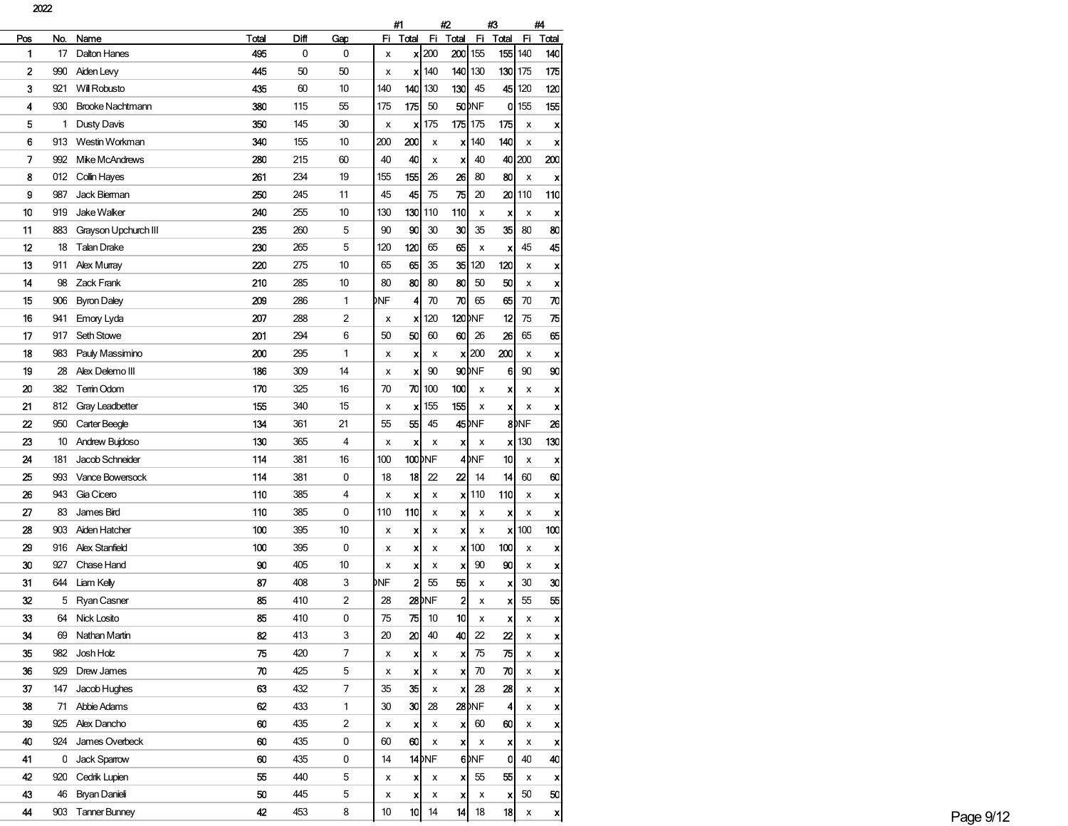2022

|     |     |                         |       | #1   |     | #2  |                | #3                 |                           | #4                |                  |                  |                  |
|-----|-----|-------------------------|-------|------|-----|-----|----------------|--------------------|---------------------------|-------------------|------------------|------------------|------------------|
| Pos | No. | Name                    | Total | Diff | Gap | Fi  | Total          | Fi                 | Total                     | Fi                | Total            | Fi               | Total            |
| 1   | 17  | <b>Dalton Hanes</b>     | 495   | 0    | 0   | x   |                | $x$ 200            | 200                       | 155               |                  | 155 140          | 140              |
| 2   | 990 | Aiden Levy              | 445   | 50   | 50  | х   | x              | 140                | 140                       | 130               |                  | 130 175          | 175              |
| 3   | 921 | Will Robusto            | 435   | 60   | 10  | 140 | 140            | 130                | 130                       | 45                | 45               | 120              | 120              |
| 4   | 930 | <b>Brooke Nachtmann</b> | 380   | 115  | 55  | 175 | 175            | 50                 |                           | 50 <sub>DNF</sub> | 0                | 155              | 155              |
| 5   | 1   | Dusty Davis             | 350   | 145  | 30  | x   | x              | 175                |                           | 175 175           | 175              | x                | X                |
| 6   | 913 | Westin Workman          | 340   | 155  | 10  | 200 | 200            | x                  | x                         | 140               | 140              | x                | x                |
| 7   | 992 | Mike McAndrews          | 280   | 215  | 60  | 40  | 40             | x                  | ×                         | 40                | 40               | 200              | 200              |
| 8   | 012 | Collin Hayes            | 261   | 234  | 19  | 155 | 155            | 26                 | 26                        | 80                | 80               | x                | X                |
| 9   | 987 | Jack Bierman            | 250   | 245  | 11  | 45  | 45             | 75                 | 75                        | 20                | 20               | 110              | 110              |
| 10  | 919 | <b>Jake Walker</b>      | 240   | 255  | 10  | 130 | 130            | 110                | 110                       | x                 | x                | x                | x                |
| 11  | 883 | Grayson Upchurch III    | 235   | 260  | 5   | 90  | 90             | 30                 | 30                        | 35                | 35               | 80               | 80               |
| 12  | 18  | <b>Talan Drake</b>      | 230   | 265  | 5   | 120 | 120            | 65                 | 65                        | x                 | x                | 45               | 45               |
| 13  | 911 | <b>Alex Murray</b>      | 220   | 275  | 10  | 65  | 65             | 35                 | 35                        | 120               | 120              | x                | X                |
| 14  | 98  | Zack Frank              | 210   | 285  | 10  | 80  | 80             | 80                 | 80                        | 50                | 50               | х                | x                |
| 15  | 906 | <b>Byron Daley</b>      | 209   | 286  | 1   | DNF | 4              | 70                 | 70                        | 65                | 65               | 70               | 70               |
| 16  | 941 | Emory Lyda              | 207   | 288  | 2   | х   | X              | 120                |                           | 120 NF            | 12               | 75               | 75               |
| 17  | 917 | Seth Stowe              | 201   | 294  | 6   | 50  | 50             | 60                 | 60                        | 26                | 26               | 65               | 65               |
| 18  | 983 | Pauly Massimino         | 200   | 295  | 1   | x   | x              | x                  |                           | $x$   200         | 200              | x                | x                |
| 19  | 28  | Alex Delemo III         | 186   | 309  | 14  | х   | X              | 90                 |                           | 90 <sub>DNF</sub> | 6                | 90               | 90               |
| 20  | 382 | Temin Odom              | 170   | 325  | 16  | 70  | 70             | 100                | 100                       | х                 | x                | х                | x                |
| 21  | 812 | <b>Gray Leadbetter</b>  | 155   | 340  | 15  | x   | x              | 155                | 155                       | x                 | x                | x                | x                |
| 22  | 950 | Carter Beegle           | 134   | 361  | 21  | 55  | 55             | 45                 |                           | 45 <sub>DNF</sub> |                  | 8 <sub>DNF</sub> | 26               |
| 23  | 10  | Andrew Bujdoso          | 130   | 365  | 4   | x   | X              | x                  | x                         | x                 |                  | $\mathsf{x}$ 130 | 130              |
| 24  | 181 | Jacob Schneider         | 114   | 381  | 16  | 100 |                | 100 <sub>DNF</sub> |                           | 4 <sub>DNF</sub>  | 10               | x                | x                |
| 25  | 993 | Vance Bowersock         | 114   | 381  | 0   | 18  | 18             | 22                 | 22                        | 14                | 14               | 60               | 60               |
| 26  | 943 | Gia Cicero              | 110   | 385  | 4   | х   | X              | x                  | x                         | 110               | 110              | х                | x                |
| 27  | 83  | James Bird              | 110   | 385  | 0   | 110 | 110            | x                  | x                         | х                 | x                | x                | X                |
| 28  | 903 | <b>Aiden Hatcher</b>    | 100   | 395  | 10  | х   | X              | x                  | x                         | x                 | x                | 100              | 100              |
| 29  | 916 | <b>Alex Stanfield</b>   | 100   | 395  | 0   | x   | x              | x                  | x                         | 100               | 100              | x                | x                |
| 30  | 927 | Chase Hand              | 90    | 405  | 10  | х   | X              | x                  | x                         | 90                | 90               | x                | X                |
| 31  | 644 | Liam Kelly              | 87    | 408  | 3   | DNF | $\overline{a}$ | 55                 | 55                        | х                 | x                | 30               | 30               |
| 32  | 5   | Ryan Casner             | 85    | 410  | 2   | 28  |                | <b>28</b> DNF      | 2                         | x                 | x                | 55               | 55               |
| 33  | 64  | Nick Losito             | 85    | 410  | 0   | 75  | 75             | 10                 | 10                        | x                 | x                | x                | X                |
| 34  | 69  | Nathan Martin           | 82    | 413  | 3   | 20  | 20             | 40                 | 40                        | 22                | $\boldsymbol{z}$ | х                | X                |
| 35  | 982 | Josh Holz               | 75    | 420  | 7   | x   | X              | x                  | x                         | 75                | 75               | x                | X                |
| 36  | 929 | Drew James              | 70    | 425  | 5   | x   | x              | x                  | x                         | 70                | 70               | х                | X                |
| 37  | 147 | Jacob Hughes            | 63    | 432  | 7   | 35  | 35             | x                  | X                         | 28                | 28               | x                | X                |
| 38  | 71  | Abbie Adams             | 62    | 433  | 1   | 30  | 30             | 28                 |                           | <b>28 INF</b>     | $\vert$          | x                | X                |
| 39  | 925 | Alex Dancho             | 60    | 435  | 2   | x   | x              | x                  | $\boldsymbol{x}$          | 60                | 60               | x                | X                |
| 40  | 924 | James Overbeck          | 60    | 435  | 0   | 60  | 60             | x                  | $\boldsymbol{\mathsf{x}}$ | х                 | x                | x                | X                |
| 41  | 0   | Jack Sparrow            | 60    | 435  | 0   | 14  |                | $14$ <sub>MF</sub> |                           | 6 <sub>DNE</sub>  | $\mathbf 0$      | 40               | 40               |
| 42  | 920 | Cedrik Lupien           | 55    | 440  | 5   | х   | x              | x                  | x                         | 55                | 55               | х                | x                |
| 43  | 46  | <b>Bryan Danieli</b>    | 50    | 445  | 5   | х   | ×              | x                  | x                         | х                 | x                | 50               | 50               |
| 44  | 903 | <b>Tanner Bunney</b>    | 42    | 453  | 8   | 10  | 10             | 14                 | 14                        | 18                | 18               | x                | $\boldsymbol{x}$ |
|     |     |                         |       |      |     |     |                |                    |                           |                   |                  |                  |                  |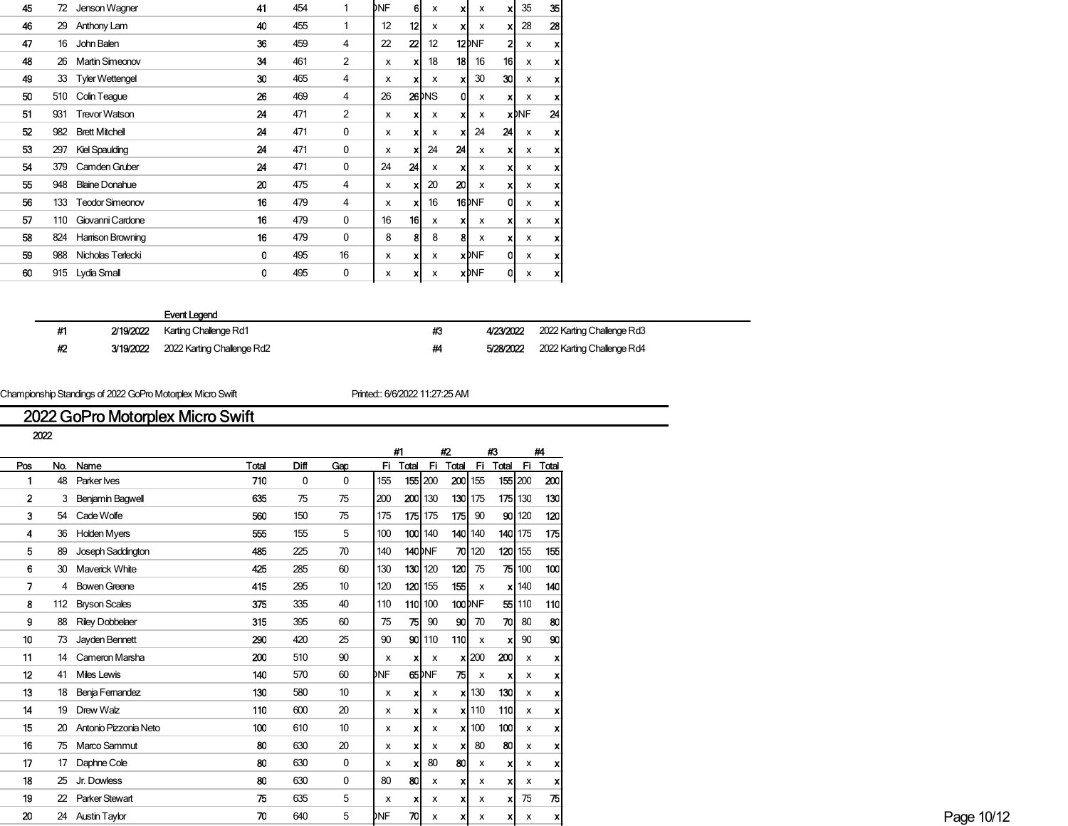| 45 | 72  | Jenson Wagner          | 41 | 454 | 1              | DNF                       | 6l               | X                  | xl | X                   | xl              | 35                        | 35 |
|----|-----|------------------------|----|-----|----------------|---------------------------|------------------|--------------------|----|---------------------|-----------------|---------------------------|----|
| 46 | 29  | Anthony Lam            | 40 | 455 | 1              | 12                        | 12               | X                  | xl | x                   | xl              | 28                        | 28 |
| 47 | 16  | John Balen             | 36 | 459 | 4              | 22                        | $\boldsymbol{z}$ | 12                 |    | $12$ <sub>DNF</sub> | $\overline{2}$  | $\boldsymbol{\mathsf{x}}$ | x  |
| 48 | 26  | <b>Martin Simeonov</b> | 34 | 461 | $\overline{2}$ | X                         | xl               | 18                 | 18 | 16                  | 16 <sup>1</sup> | X                         | X  |
| 49 |     | 33 Tyler Wettengel     | 30 | 465 | 4              | x                         | xl               | X                  | xl | 30                  | 30 <sup>1</sup> | $\boldsymbol{\mathsf{x}}$ | x  |
| 50 | 510 | Colin Teague           | 26 | 469 | 4              | 26                        |                  | 26 <sup>b</sup> NS | 01 | x                   | x               | $\boldsymbol{\mathsf{x}}$ | x  |
| 51 | 931 | <b>Trevor Watson</b>   | 24 | 471 | $\overline{2}$ | x                         | x                | x                  | xl | x                   |                 | <b>x</b> DNF              | 24 |
| 52 | 982 | <b>Brett Mitchell</b>  | 24 | 471 | 0              | x                         | xl               | X                  | xl | 24                  | 24              | X                         | x  |
| 53 | 297 | <b>Kiel Spaulding</b>  | 24 | 471 | 0              | x                         | x                | 24                 | 24 | X                   | x               | $\boldsymbol{\mathsf{x}}$ | x  |
| 54 | 379 | Camden Gruber          | 24 | 471 | $\mathbf{0}$   | 24                        | 24               | X                  | xl | x                   | xl              | X                         | x  |
| 55 | 948 | <b>Blaine Donahue</b>  | 20 | 475 | $\overline{4}$ | $\boldsymbol{\mathsf{x}}$ | X                | 20                 | 20 | X                   | x               | $\boldsymbol{\mathsf{x}}$ | x  |
| 56 | 133 | <b>Teodor Simeonov</b> | 16 | 479 | 4              | x                         | xl               | 16                 |    | $16$ <sub>NF</sub>  | 0               | X                         | x  |
| 57 | 110 | Giovanni Cardone       | 16 | 479 | 0              | 16                        | 16               | x                  | xl | x                   | x               | $\boldsymbol{\mathsf{x}}$ | x  |
| 58 | 824 | Harrison Browning      | 16 | 479 | 0              | 8                         | 81               | 8                  | 81 | X                   | x               | х                         | x  |
| 59 | 988 | Nicholas Terlecki      | 0  | 495 | 16             | X                         | xl               | X                  |    | <b>x</b> DNF        | O               | X                         | x  |
| 60 | 915 | Lydia Small            | 0  | 495 | 0              | x                         | xl               | x                  |    | <b>x</b> DNF        | 0               | x                         | X  |
|    |     |                        |    |     |                |                           |                  |                    |    |                     |                 |                           |    |

#2 3/19/2022 2022 Karting Challenge Rd2 **#4 5/28/2022** 2022 Karting Challenge Rd4

#1 2/19/2022 Karting Challenge Rd1 **#3 4/23/2022** 2022 Karting Challenge Rd3

Championship Standings of 2022 GoPro Motorplex Micro Swift Printed:: 6/6/2022 11:27:25 AM

## 2022 GoPro Motorplex Micro Swift

|              |     |                          |       |      |                 |                           | #1             |                           | #2         |                               | $\#3$                |                 | #4         |
|--------------|-----|--------------------------|-------|------|-----------------|---------------------------|----------------|---------------------------|------------|-------------------------------|----------------------|-----------------|------------|
| Pos          | No. | Name                     | Total | Diff | Gap             |                           | Fi Total       |                           |            |                               | Fi Total Fi Total Fi |                 | Total      |
|              |     | 48 Parker Ives           | 710   | 0    | 0               | 155                       |                | 155 200                   | 200 155    |                               |                      | $155 \mid 200$  | 200        |
| $\mathbf{2}$ |     | 3 Benjamin Bagwell       | 635   | 75   | 75              | 200                       |                | $200$ 130                 |            | $130$ 175                     |                      | $175$ 130       | 130        |
| 3            |     | 54 Cade Wolfe            | 560   | 150  | 75              | 175                       |                | 175 175                   | 175        | 90                            |                      | 90 120          | 120        |
| 4            |     | 36 Holden Myers          | 555   | 155  | 5               | 100                       |                | 100 140                   |            | 140 140                       |                      | <b>140 1</b> 75 | 175        |
| 5            | 89  | Joseph Saddington        | 485   | 225  | 70              | 140                       | <b>140</b> DNF |                           |            | $70$ 120                      | 120                  | 155             | 155        |
| 6            |     | 30 Maverick White        | 425   | 285  | 60              | 130                       |                | 130 120                   | <b>120</b> | 75                            |                      | 75 100          | 100        |
| 7            |     | 4 Bowen Greene           | 415   | 295  | 10 <sup>°</sup> | 120                       |                | $120$ 155                 | 155        | $\boldsymbol{\mathsf{x}}$     |                      | $x$ 140         | 140        |
| 8            |     | 112 Bryson Scales        | 375   | 335  | 40              | 110                       |                | 110 100                   |            | 100 DNF                       | 551                  | 110             | <b>110</b> |
| 9            |     | 88 Riley Dobbelaer       | 315   | 395  | 60              | 75                        | 75             | 90                        | 90         | 70                            | 70                   | 80              | 80         |
| 10           |     | 73 Jayden Bennett        | 290   | 420  | 25              | 90                        |                | 90 110                    | <b>110</b> | $\mathbf{x}$                  |                      | 90              | 90         |
| 11           |     | 14 Cameron Marsha        | 200   | 510  | 90              | $\boldsymbol{\mathsf{x}}$ |                | х                         |            | x 200                         | 200                  | x               |            |
| 12           |     | 41 Miles Lewis           | 140   | 570  | 60              | <b>DNF</b>                |                | 65DNF                     | 75 I       | x                             |                      | x               |            |
| 13           |     | 18 Benja Femandez        | 130   | 580  | 10              | X                         |                | x                         |            | $x$ 130                       | 130                  | x               |            |
| 14           |     | 19 Drew Walz             | 110   | 600  | 20              | х                         |                | x                         |            | $x$   110                     | 110                  | x               |            |
| 15           |     | 20 Antonio Pizzonia Neto | 100   | 610  | 10              | x                         |                | x                         |            | $\boldsymbol{\mathsf{x}}$ 100 | 100                  | х               |            |
| 16           |     | 75 Marco Sammut          | 80    | 630  | 20              | х                         |                | x                         |            | 80                            | 80                   | х               |            |
| 17           |     | 17 Daphne Cole           | 80    | 630  | 0               | x                         |                | 80                        | 80         | $\boldsymbol{\mathsf{x}}$     | x                    | x               |            |
| 18           |     | 25 Jr. Dowless           | 80    | 630  | 0               | 80                        | -80            | x                         |            | х                             |                      | x               |            |
| 19           |     | 22 Parker Stewart        | 75    | 635  | 5               | x                         |                | х                         | x          | x                             | x                    | 75              | 75         |
| 20           |     | 24 Austin Taylor         | 70    | 640  | 5               | DNF                       | 7이             | $\boldsymbol{\mathsf{x}}$ | x          | X                             | x                    | x               | x          |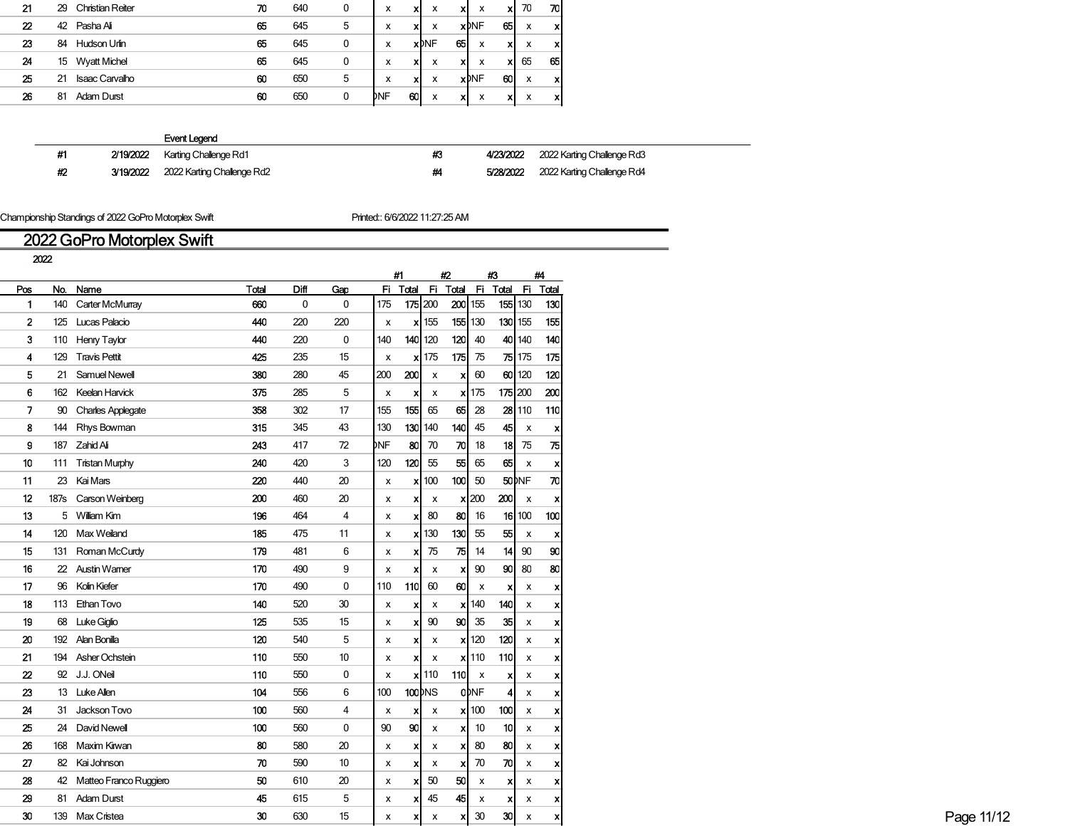| 21 | 29 | Christian Reiter      | 70 | 640 | 0 | x   | x  | x            | xl | x            | X  | 70 | 70 I |
|----|----|-----------------------|----|-----|---|-----|----|--------------|----|--------------|----|----|------|
| 22 | 42 | Pasha Ali             | 65 | 645 | 5 | x   | x  | x            |    | <b>x</b> DNF | 65 | x  | x    |
| 23 | 84 | Hudson Urlin          | 65 | 645 | 0 | x   |    | <b>x</b> DNF | 65 | x            | x  | x  | x    |
| 24 | 15 | <b>Wyatt Michel</b>   | 65 | 645 | 0 | x   | xı | x            | x  | x            | x  | 65 | 65   |
| 25 | 21 | <b>Isaac Carvalho</b> | 60 | 650 | 5 | x   | xl | x            |    | <b>x</b> DNF | 60 | x  | x    |
| 26 | 81 | Adam Durst            | 60 | 650 | 0 | DNF | 60 | x            | x  | x            | X  | x  | xl   |
|    |    |                       |    |     |   |     |    |              |    |              |    |    |      |

|    |           | Event Legend               |    |           |                            |
|----|-----------|----------------------------|----|-----------|----------------------------|
| #1 | 2/19/2022 | Karting Challenge Rd1      | #3 | 4/23/2022 | 2022 Karting Challenge Rd3 |
| #2 | 3/19/2022 | 2022 Karting Challenge Rd2 | ₩  | 5/28/2022 | 2022 Karting Challenge Rd4 |

Championship Standings of 2022 GoPro Motorplex Swift **Printed:**: 6/6/2022 11:27:25 AM

# 2022 GoPro Motorplex Swift

|                  | 2022 |                           |       |             |             |                           |                           |                           |                           |                  |                                     |                           |                           |
|------------------|------|---------------------------|-------|-------------|-------------|---------------------------|---------------------------|---------------------------|---------------------------|------------------|-------------------------------------|---------------------------|---------------------------|
|                  |      |                           |       |             |             |                           | #1                        |                           | #2                        |                  | $\boldsymbol{\mu}$                  |                           | #4                        |
| Pos              | No.  | Name                      | Total | Diff        | Gap         |                           |                           |                           |                           |                  | Fi Total Fi Total Fi Total Fi Total |                           |                           |
| 1                |      | 140 Carter McMurray       | 660   | $\mathbf 0$ | $\mathbf 0$ | 175                       | 175 200                   |                           | $200$ 155                 |                  | $155$ 130                           |                           | 130                       |
| $\mathbf{2}$     |      | 125 Lucas Palacio         | 440   | 220         | 220         | $\boldsymbol{\mathsf{x}}$ |                           | $\mathsf{x}$ 155          | 155 130                   |                  | 130                                 | 155                       | 155                       |
| 3                |      | 110 Henry Taylor          | 440   | 220         | $\mathbf 0$ | 140                       | $140$ 120                 |                           | 120                       | 40               |                                     | 40 140                    | 140                       |
| 4                |      | 129 Travis Pettit         | 425   | 235         | 15          | $\boldsymbol{\mathsf{x}}$ |                           | $x$ 175                   | 175                       | 75               |                                     | $75$ 175                  | 175                       |
| 5                |      | 21 Samuel Newell          | 380   | 280         | 45          | 200                       | 200                       | $\pmb{\times}$            | $\boldsymbol{\mathsf{x}}$ | 60               |                                     | $60$ 120                  | 120                       |
| 6                |      | 162 Keelan Harvick        | 375   | 285         | 5           | $\boldsymbol{\mathsf{x}}$ | $\boldsymbol{\mathsf{x}}$ | X                         |                           | $x$ 175          | $175$ 200                           |                           | 200                       |
| 7                |      | 90 Charles Applegate      | 358   | 302         | 17          | 155                       | 155                       | 65                        |                           | $65$ 28          | 28                                  | 110                       | 110                       |
| 8                |      | 144 Rhys Bowman           | 315   | 345         | 43          | 130                       |                           | $130$ 140                 | 140                       | 45               | 45                                  | $\boldsymbol{\mathsf{x}}$ | $\boldsymbol{\mathsf{x}}$ |
| g                |      | 187 Zahid Ali             | 243   | 417         | 72          | DNF                       | 80                        | 70                        | 끼                         | 18               | 18                                  | 75                        | 75                        |
| 10               |      | 111 Tristan Murphy        | 240   | 420         | 3           | 120                       | $120$ 55                  |                           | 55                        | 65               | 65                                  | $\boldsymbol{\mathsf{x}}$ | $\boldsymbol{\mathsf{x}}$ |
| 11               | 23   | Kai Mars                  | 220   | 440         | 20          | $\boldsymbol{\mathsf{x}}$ |                           | $\mathsf{x}$ 100          | 100                       | 50               |                                     | $50$ <sub>NF</sub>        | ᅍ                         |
| 12               |      | 187s Carson Weinberg      | 200   | 460         | 20          | x                         | xl                        | $\pmb{\mathsf{x}}$        |                           | $x$ 200          | 200                                 | $\boldsymbol{\mathsf{x}}$ | $\boldsymbol{\mathsf{x}}$ |
| 13               |      | 5 William Kim             | 196   | 464         | 4           | X                         | x                         | 80                        | 80                        | 16               | 16                                  | 100                       | 100                       |
| 14               |      | 120 Max Weiland           | 185   | 475         | 11          | $\boldsymbol{\mathsf{x}}$ |                           | $\mathsf{x}$ 130          | 130                       | 55               | 55                                  | $\pmb{\times}$            | $\boldsymbol{\mathsf{x}}$ |
| 15               |      | 131 Roman McCurdy         | 179   | 481         | 6           | $\boldsymbol{\mathsf{x}}$ |                           | $x$ 75                    | 75                        | 14               | 14                                  | 90                        | 90                        |
|                  |      | 22 Austin Wamer           | 170   | 490         | 9           |                           |                           |                           |                           | 90               | 90                                  | 80                        | 80                        |
| 16               |      |                           |       |             |             | X                         | X                         | $\pmb{\chi}$              | $\boldsymbol{\mathsf{x}}$ |                  |                                     |                           |                           |
| 17               |      | 96 Kolin Kiefer           | 170   | 490         | 0           | 110                       | $110$ 60                  |                           | 60                        | $\mathbf{x}$     | $\boldsymbol{\mathsf{x}}$           | х                         | X                         |
| 18               |      | 113 Ethan Tovo            | 140   | 520         | 30          | $\boldsymbol{\mathsf{x}}$ | xl                        | $\boldsymbol{\mathsf{x}}$ |                           | $\mathsf{x}$ 140 | 140                                 | $\boldsymbol{\mathsf{x}}$ | $\boldsymbol{\mathsf{x}}$ |
| 19               |      | 68 Luke Giglio            | 125   | 535         | 15          | $\boldsymbol{\mathsf{x}}$ | $\boldsymbol{\mathsf{x}}$ | 90                        |                           | $90 \mid 35$     | 35                                  | $\pmb{\chi}$              | X                         |
| 20               |      | 192 Alan Bonilla          | 120   | 540         | 5           | X                         | xl                        | $\boldsymbol{\mathsf{x}}$ |                           | $\mathsf{x}$ 120 | 120                                 | x                         |                           |
| 21               |      | 194 Asher Ochstein        | 110   | 550         | 10          | X                         | xI                        | $\mathbf{x}$              |                           | $\mathsf{x}$ 110 | 110                                 | $\pmb{\mathsf{x}}$        | X                         |
| $\boldsymbol{z}$ |      | 92 J.J. ONeil             | 110   | 550         | $\mathbf 0$ | $\boldsymbol{\mathsf{x}}$ |                           | $x$   110                 | 110 $\vert x \vert$       |                  | $\boldsymbol{\mathsf{x}}$           | х                         | $\boldsymbol{\mathsf{x}}$ |
| 23               |      | 13 Luke Allen             | 104   | 556         | 6           | 100                       | $100$ <sub>pNS</sub>      |                           |                           | <b>ODNF</b>      |                                     | x                         |                           |
| 24               |      | 31 Jackson Tovo           | 100   | 560         | 4           | $\boldsymbol{\mathsf{x}}$ | $\boldsymbol{x}$          | $\pmb{\mathsf{x}}$        |                           | $x$ 100          | 100                                 | $\pmb{\times}$            |                           |
| 25               |      | 24 David Newell           | 100   | 560         | 0           | 90                        | 90                        | $\mathbf{x}$              | x                         | 10               | 10 <sup>1</sup>                     | $\pmb{\mathsf{x}}$        | x                         |
| 26               |      | 168 Maxim Kirwan          | 80    | 580         | 20          | $\boldsymbol{\mathsf{x}}$ | x                         | $\pmb{\mathsf{x}}$        | $\boldsymbol{\mathsf{x}}$ | 80               | 80                                  | $\pmb{\mathsf{x}}$        | $\boldsymbol{\mathsf{x}}$ |
| 27               |      | 82 Kai Johnson            | 70    | 590         | 10          | X                         | $\boldsymbol{\mathsf{x}}$ | $\pmb{\mathsf{x}}$        | $\boldsymbol{\mathsf{x}}$ | 70               | 70                                  | $\pmb{\times}$            | x                         |
| 28               |      | 42 Matteo Franco Ruggiero | 50    | 610         | 20          | X                         | x                         | 50                        | 50                        | $\mathbf{x}$     | X                                   | $\pmb{\times}$            | x                         |
| 29               |      | 81 Adam Durst             | 45    | 615         | 5           | X                         | $X^{\dagger}$             | 45                        | 45                        | $\mathbf{x}$     | X                                   | $\pmb{\times}$            | $\boldsymbol{\mathsf{x}}$ |
| 30               |      | 139 Max Cristea           | 30    | 630         | 15          |                           |                           |                           | $\boldsymbol{\mathsf{x}}$ | 30               | 30                                  |                           | $\boldsymbol{\mathsf{x}}$ |
|                  |      |                           |       |             |             | х                         | хI                        | $\pmb{\chi}$              |                           |                  |                                     | $\pmb{\mathsf{x}}$        |                           |